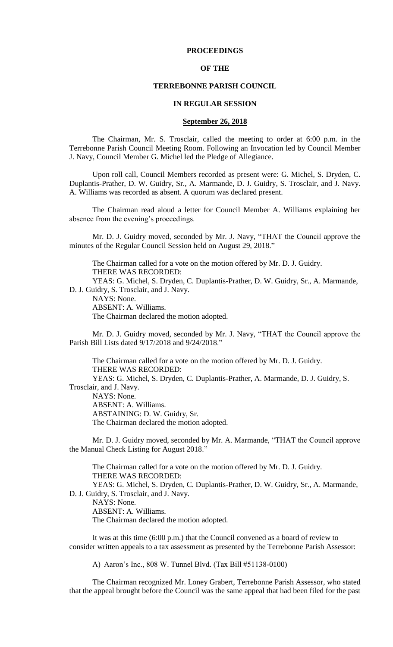## **PROCEEDINGS**

## **OF THE**

#### **TERREBONNE PARISH COUNCIL**

#### **IN REGULAR SESSION**

## **September 26, 2018**

The Chairman, Mr. S. Trosclair, called the meeting to order at 6:00 p.m. in the Terrebonne Parish Council Meeting Room. Following an Invocation led by Council Member J. Navy, Council Member G. Michel led the Pledge of Allegiance.

Upon roll call, Council Members recorded as present were: G. Michel, S. Dryden, C. Duplantis-Prather, D. W. Guidry, Sr., A. Marmande, D. J. Guidry, S. Trosclair, and J. Navy. A. Williams was recorded as absent. A quorum was declared present.

The Chairman read aloud a letter for Council Member A. Williams explaining her absence from the evening's proceedings.

Mr. D. J. Guidry moved, seconded by Mr. J. Navy, "THAT the Council approve the minutes of the Regular Council Session held on August 29, 2018."

The Chairman called for a vote on the motion offered by Mr. D. J. Guidry. THERE WAS RECORDED:

YEAS: G. Michel, S. Dryden, C. Duplantis-Prather, D. W. Guidry, Sr., A. Marmande, D. J. Guidry, S. Trosclair, and J. Navy.

NAYS: None.

ABSENT: A. Williams.

The Chairman declared the motion adopted.

Mr. D. J. Guidry moved, seconded by Mr. J. Navy, "THAT the Council approve the Parish Bill Lists dated 9/17/2018 and 9/24/2018."

The Chairman called for a vote on the motion offered by Mr. D. J. Guidry. THERE WAS RECORDED: YEAS: G. Michel, S. Dryden, C. Duplantis-Prather, A. Marmande, D. J. Guidry, S. Trosclair, and J. Navy. NAYS: None. ABSENT: A. Williams. ABSTAINING: D. W. Guidry, Sr. The Chairman declared the motion adopted.

Mr. D. J. Guidry moved, seconded by Mr. A. Marmande, "THAT the Council approve the Manual Check Listing for August 2018."

The Chairman called for a vote on the motion offered by Mr. D. J. Guidry. THERE WAS RECORDED: YEAS: G. Michel, S. Dryden, C. Duplantis-Prather, D. W. Guidry, Sr., A. Marmande,

D. J. Guidry, S. Trosclair, and J. Navy. NAYS: None. ABSENT: A. Williams.

The Chairman declared the motion adopted.

It was at this time (6:00 p.m.) that the Council convened as a board of review to consider written appeals to a tax assessment as presented by the Terrebonne Parish Assessor:

A) Aaron's Inc., 808 W. Tunnel Blvd. (Tax Bill #51138-0100)

The Chairman recognized Mr. Loney Grabert, Terrebonne Parish Assessor, who stated that the appeal brought before the Council was the same appeal that had been filed for the past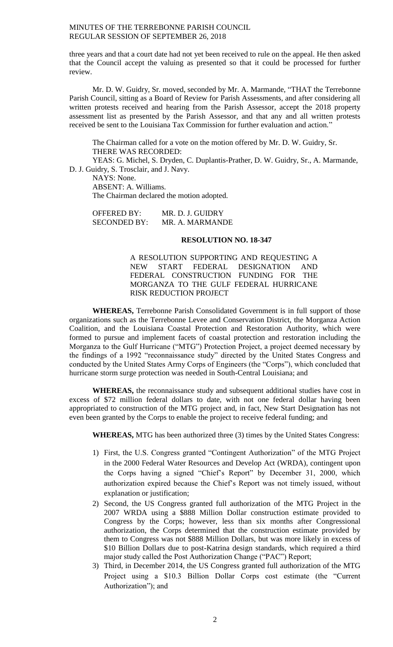three years and that a court date had not yet been received to rule on the appeal. He then asked that the Council accept the valuing as presented so that it could be processed for further review.

Mr. D. W. Guidry, Sr. moved, seconded by Mr. A. Marmande, "THAT the Terrebonne Parish Council, sitting as a Board of Review for Parish Assessments, and after considering all written protests received and hearing from the Parish Assessor, accept the 2018 property assessment list as presented by the Parish Assessor, and that any and all written protests received be sent to the Louisiana Tax Commission for further evaluation and action."

The Chairman called for a vote on the motion offered by Mr. D. W. Guidry, Sr. THERE WAS RECORDED:

YEAS: G. Michel, S. Dryden, C. Duplantis-Prather, D. W. Guidry, Sr., A. Marmande, D. J. Guidry, S. Trosclair, and J. Navy.

NAYS: None. ABSENT: A. Williams. The Chairman declared the motion adopted.

| <b>OFFERED BY:</b>  | MR. D. J. GUIDRY |
|---------------------|------------------|
| <b>SECONDED BY:</b> | MR. A. MARMANDE  |

## **RESOLUTION NO. 18-347**

A RESOLUTION SUPPORTING AND REQUESTING A NEW START FEDERAL DESIGNATION AND FEDERAL CONSTRUCTION FUNDING FOR THE MORGANZA TO THE GULF FEDERAL HURRICANE RISK REDUCTION PROJECT

**WHEREAS,** Terrebonne Parish Consolidated Government is in full support of those organizations such as the Terrebonne Levee and Conservation District, the Morganza Action Coalition, and the Louisiana Coastal Protection and Restoration Authority, which were formed to pursue and implement facets of coastal protection and restoration including the Morganza to the Gulf Hurricane ("MTG") Protection Project, a project deemed necessary by the findings of a 1992 "reconnaissance study" directed by the United States Congress and conducted by the United States Army Corps of Engineers (the "Corps"), which concluded that hurricane storm surge protection was needed in South-Central Louisiana; and

**WHEREAS,** the reconnaissance study and subsequent additional studies have cost in excess of \$72 million federal dollars to date, with not one federal dollar having been appropriated to construction of the MTG project and, in fact, New Start Designation has not even been granted by the Corps to enable the project to receive federal funding; and

**WHEREAS,** MTG has been authorized three (3) times by the United States Congress:

- 1) First, the U.S. Congress granted "Contingent Authorization" of the MTG Project in the 2000 Federal Water Resources and Develop Act (WRDA), contingent upon the Corps having a signed "Chief's Report" by December 31, 2000, which authorization expired because the Chief's Report was not timely issued, without explanation or justification;
- 2) Second, the US Congress granted full authorization of the MTG Project in the 2007 WRDA using a \$888 Million Dollar construction estimate provided to Congress by the Corps; however, less than six months after Congressional authorization, the Corps determined that the construction estimate provided by them to Congress was not \$888 Million Dollars, but was more likely in excess of \$10 Billion Dollars due to post-Katrina design standards, which required a third major study called the Post Authorization Change ("PAC") Report;
- 3) Third, in December 2014, the US Congress granted full authorization of the MTG Project using a \$10.3 Billion Dollar Corps cost estimate (the "Current Authorization"); and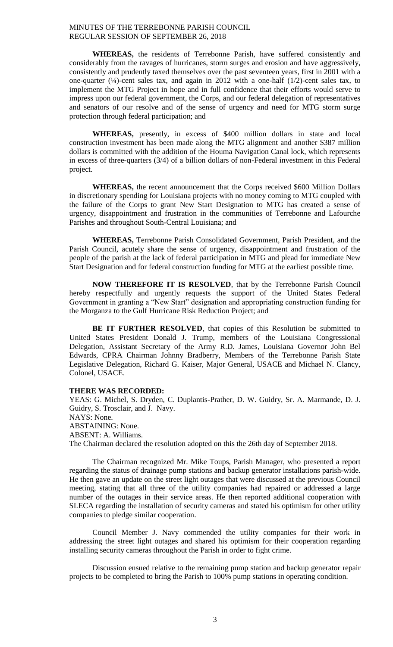**WHEREAS,** the residents of Terrebonne Parish, have suffered consistently and considerably from the ravages of hurricanes, storm surges and erosion and have aggressively, consistently and prudently taxed themselves over the past seventeen years, first in 2001 with a one-quarter  $(\frac{1}{4})$ -cent sales tax, and again in 2012 with a one-half  $(1/2)$ -cent sales tax, to implement the MTG Project in hope and in full confidence that their efforts would serve to impress upon our federal government, the Corps, and our federal delegation of representatives and senators of our resolve and of the sense of urgency and need for MTG storm surge protection through federal participation; and

**WHEREAS,** presently, in excess of \$400 million dollars in state and local construction investment has been made along the MTG alignment and another \$387 million dollars is committed with the addition of the Houma Navigation Canal lock, which represents in excess of three-quarters (3/4) of a billion dollars of non-Federal investment in this Federal project.

**WHEREAS,** the recent announcement that the Corps received \$600 Million Dollars in discretionary spending for Louisiana projects with no money coming to MTG coupled with the failure of the Corps to grant New Start Designation to MTG has created a sense of urgency, disappointment and frustration in the communities of Terrebonne and Lafourche Parishes and throughout South-Central Louisiana; and

**WHEREAS,** Terrebonne Parish Consolidated Government, Parish President, and the Parish Council, acutely share the sense of urgency, disappointment and frustration of the people of the parish at the lack of federal participation in MTG and plead for immediate New Start Designation and for federal construction funding for MTG at the earliest possible time.

**NOW THEREFORE IT IS RESOLVED**, that by the Terrebonne Parish Council hereby respectfully and urgently requests the support of the United States Federal Government in granting a "New Start" designation and appropriating construction funding for the Morganza to the Gulf Hurricane Risk Reduction Project; and

BE IT FURTHER RESOLVED, that copies of this Resolution be submitted to United States President Donald J. Trump, members of the Louisiana Congressional Delegation, Assistant Secretary of the Army R.D. James, Louisiana Governor John Bel Edwards, CPRA Chairman Johnny Bradberry, Members of the Terrebonne Parish State Legislative Delegation, Richard G. Kaiser, Major General, USACE and Michael N. Clancy, Colonel, USACE.

## **THERE WAS RECORDED:**

YEAS: G. Michel, S. Dryden, C. Duplantis-Prather, D. W. Guidry, Sr. A. Marmande, D. J. Guidry, S. Trosclair, and J. Navy. NAYS: None. ABSTAINING: None. ABSENT: A. Williams. The Chairman declared the resolution adopted on this the 26th day of September 2018.

The Chairman recognized Mr. Mike Toups, Parish Manager, who presented a report regarding the status of drainage pump stations and backup generator installations parish-wide. He then gave an update on the street light outages that were discussed at the previous Council meeting, stating that all three of the utility companies had repaired or addressed a large number of the outages in their service areas. He then reported additional cooperation with SLECA regarding the installation of security cameras and stated his optimism for other utility companies to pledge similar cooperation.

Council Member J. Navy commended the utility companies for their work in addressing the street light outages and shared his optimism for their cooperation regarding installing security cameras throughout the Parish in order to fight crime.

Discussion ensued relative to the remaining pump station and backup generator repair projects to be completed to bring the Parish to 100% pump stations in operating condition.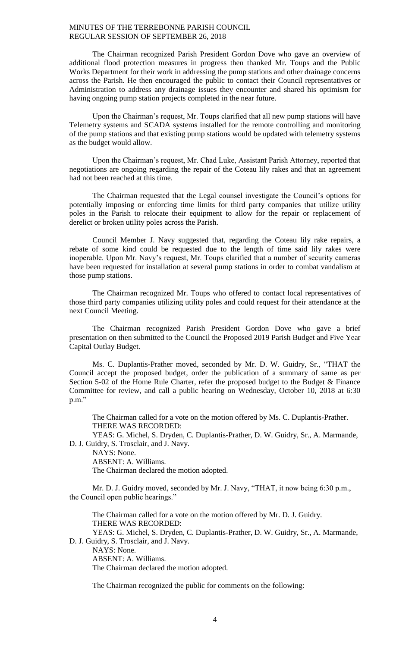The Chairman recognized Parish President Gordon Dove who gave an overview of additional flood protection measures in progress then thanked Mr. Toups and the Public Works Department for their work in addressing the pump stations and other drainage concerns across the Parish. He then encouraged the public to contact their Council representatives or Administration to address any drainage issues they encounter and shared his optimism for having ongoing pump station projects completed in the near future.

Upon the Chairman's request, Mr. Toups clarified that all new pump stations will have Telemetry systems and SCADA systems installed for the remote controlling and monitoring of the pump stations and that existing pump stations would be updated with telemetry systems as the budget would allow.

Upon the Chairman's request, Mr. Chad Luke, Assistant Parish Attorney, reported that negotiations are ongoing regarding the repair of the Coteau lily rakes and that an agreement had not been reached at this time.

The Chairman requested that the Legal counsel investigate the Council's options for potentially imposing or enforcing time limits for third party companies that utilize utility poles in the Parish to relocate their equipment to allow for the repair or replacement of derelict or broken utility poles across the Parish.

Council Member J. Navy suggested that, regarding the Coteau lily rake repairs, a rebate of some kind could be requested due to the length of time said lily rakes were inoperable. Upon Mr. Navy's request, Mr. Toups clarified that a number of security cameras have been requested for installation at several pump stations in order to combat vandalism at those pump stations.

The Chairman recognized Mr. Toups who offered to contact local representatives of those third party companies utilizing utility poles and could request for their attendance at the next Council Meeting.

The Chairman recognized Parish President Gordon Dove who gave a brief presentation on then submitted to the Council the Proposed 2019 Parish Budget and Five Year Capital Outlay Budget.

Ms. C. Duplantis-Prather moved, seconded by Mr. D. W. Guidry, Sr., "THAT the Council accept the proposed budget, order the publication of a summary of same as per Section 5-02 of the Home Rule Charter, refer the proposed budget to the Budget & Finance Committee for review, and call a public hearing on Wednesday, October 10, 2018 at 6:30 p.m."

The Chairman called for a vote on the motion offered by Ms. C. Duplantis-Prather. THERE WAS RECORDED:

YEAS: G. Michel, S. Dryden, C. Duplantis-Prather, D. W. Guidry, Sr., A. Marmande, D. J. Guidry, S. Trosclair, and J. Navy.

NAYS: None.

ABSENT: A. Williams. The Chairman declared the motion adopted.

Mr. D. J. Guidry moved, seconded by Mr. J. Navy, "THAT, it now being 6:30 p.m., the Council open public hearings."

The Chairman called for a vote on the motion offered by Mr. D. J. Guidry. THERE WAS RECORDED:

YEAS: G. Michel, S. Dryden, C. Duplantis-Prather, D. W. Guidry, Sr., A. Marmande, D. J. Guidry, S. Trosclair, and J. Navy.

NAYS: None.

ABSENT: A. Williams.

The Chairman declared the motion adopted.

The Chairman recognized the public for comments on the following: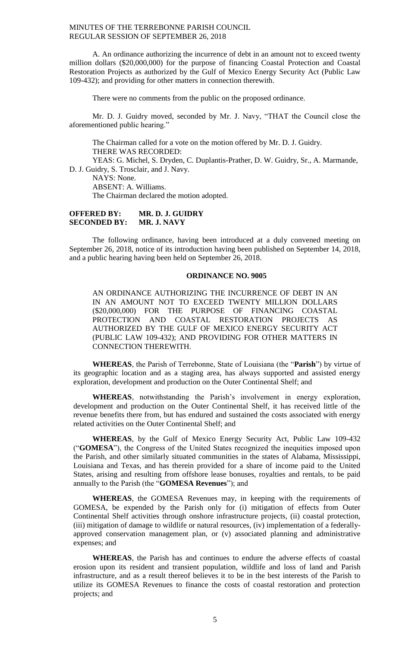A. An ordinance authorizing the incurrence of debt in an amount not to exceed twenty million dollars (\$20,000,000) for the purpose of financing Coastal Protection and Coastal Restoration Projects as authorized by the Gulf of Mexico Energy Security Act (Public Law 109-432); and providing for other matters in connection therewith.

There were no comments from the public on the proposed ordinance.

Mr. D. J. Guidry moved, seconded by Mr. J. Navy, "THAT the Council close the aforementioned public hearing."

The Chairman called for a vote on the motion offered by Mr. D. J. Guidry. THERE WAS RECORDED:

YEAS: G. Michel, S. Dryden, C. Duplantis-Prather, D. W. Guidry, Sr., A. Marmande, D. J. Guidry, S. Trosclair, and J. Navy.

NAYS: None.

ABSENT: A. Williams.

The Chairman declared the motion adopted.

## **OFFERED BY: MR. D. J. GUIDRY SECONDED BY: MR. J. NAVY**

The following ordinance, having been introduced at a duly convened meeting on September 26, 2018, notice of its introduction having been published on September 14, 2018, and a public hearing having been held on September 26, 2018.

## **ORDINANCE NO. 9005**

AN ORDINANCE AUTHORIZING THE INCURRENCE OF DEBT IN AN IN AN AMOUNT NOT TO EXCEED TWENTY MILLION DOLLARS (\$20,000,000) FOR THE PURPOSE OF FINANCING COASTAL PROTECTION AND COASTAL RESTORATION PROJECTS AS AUTHORIZED BY THE GULF OF MEXICO ENERGY SECURITY ACT (PUBLIC LAW 109-432); AND PROVIDING FOR OTHER MATTERS IN CONNECTION THEREWITH.

**WHEREAS**, the Parish of Terrebonne, State of Louisiana (the "**Parish**") by virtue of its geographic location and as a staging area, has always supported and assisted energy exploration, development and production on the Outer Continental Shelf; and

**WHEREAS**, notwithstanding the Parish's involvement in energy exploration, development and production on the Outer Continental Shelf, it has received little of the revenue benefits there from, but has endured and sustained the costs associated with energy related activities on the Outer Continental Shelf; and

**WHEREAS**, by the Gulf of Mexico Energy Security Act, Public Law 109-432 ("**GOMESA**"), the Congress of the United States recognized the inequities imposed upon the Parish, and other similarly situated communities in the states of Alabama, Mississippi, Louisiana and Texas, and has therein provided for a share of income paid to the United States, arising and resulting from offshore lease bonuses, royalties and rentals, to be paid annually to the Parish (the "**GOMESA Revenues**"); and

**WHEREAS**, the GOMESA Revenues may, in keeping with the requirements of GOMESA, be expended by the Parish only for (i) mitigation of effects from Outer Continental Shelf activities through onshore infrastructure projects, (ii) coastal protection, (iii) mitigation of damage to wildlife or natural resources, (iv) implementation of a federallyapproved conservation management plan, or (v) associated planning and administrative expenses; and

**WHEREAS**, the Parish has and continues to endure the adverse effects of coastal erosion upon its resident and transient population, wildlife and loss of land and Parish infrastructure, and as a result thereof believes it to be in the best interests of the Parish to utilize its GOMESA Revenues to finance the costs of coastal restoration and protection projects; and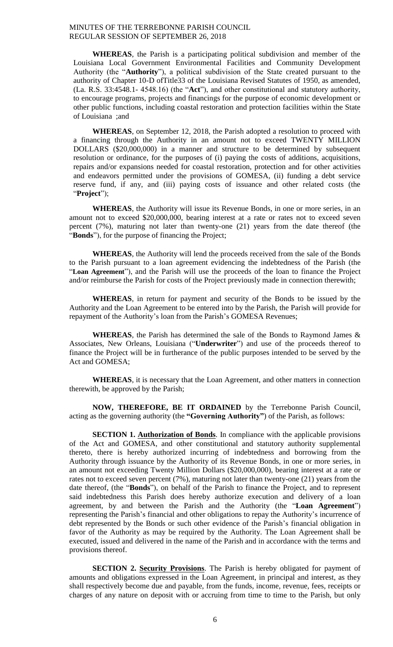**WHEREAS**, the Parish is a participating political subdivision and member of the Louisiana Local Government Environmental Facilities and Community Development Authority (the "**Authority**"), a political subdivision of the State created pursuant to the authority of Chapter 10-D ofTitle33 of the Louisiana Revised Statutes of 1950, as amended, (La. R.S. 33:4548.1- 4548.16) (the "**Act**"), and other constitutional and statutory authority, to encourage programs, projects and financings for the purpose of economic development or other public functions, including coastal restoration and protection facilities within the State of Louisiana ;and

**WHEREAS**, on September 12, 2018, the Parish adopted a resolution to proceed with a financing through the Authority in an amount not to exceed TWENTY MILLION DOLLARS (\$20,000,000) in a manner and structure to be determined by subsequent resolution or ordinance, for the purposes of (i) paying the costs of additions, acquisitions, repairs and/or expansions needed for coastal restoration, protection and for other activities and endeavors permitted under the provisions of GOMESA, (ii) funding a debt service reserve fund, if any, and (iii) paying costs of issuance and other related costs (the "**Project**");

**WHEREAS**, the Authority will issue its Revenue Bonds, in one or more series, in an amount not to exceed \$20,000,000, bearing interest at a rate or rates not to exceed seven percent (7%), maturing not later than twenty-one (21) years from the date thereof (the "**Bonds**"), for the purpose of financing the Project;

**WHEREAS**, the Authority will lend the proceeds received from the sale of the Bonds to the Parish pursuant to a loan agreement evidencing the indebtedness of the Parish (the "**Loan Agreement**"), and the Parish will use the proceeds of the loan to finance the Project and/or reimburse the Parish for costs of the Project previously made in connection therewith;

**WHEREAS**, in return for payment and security of the Bonds to be issued by the Authority and the Loan Agreement to be entered into by the Parish, the Parish will provide for repayment of the Authority's loan from the Parish's GOMESA Revenues;

**WHEREAS**, the Parish has determined the sale of the Bonds to Raymond James & Associates, New Orleans, Louisiana ("**Underwriter**") and use of the proceeds thereof to finance the Project will be in furtherance of the public purposes intended to be served by the Act and GOMESA;

**WHEREAS**, it is necessary that the Loan Agreement, and other matters in connection therewith, be approved by the Parish;

**NOW, THEREFORE, BE IT ORDAINED** by the Terrebonne Parish Council, acting as the governing authority (the **"Governing Authority"**) of the Parish, as follows:

**SECTION 1. Authorization of Bonds**. In compliance with the applicable provisions of the Act and GOMESA, and other constitutional and statutory authority supplemental thereto, there is hereby authorized incurring of indebtedness and borrowing from the Authority through issuance by the Authority of its Revenue Bonds, in one or more series, in an amount not exceeding Twenty Million Dollars (\$20,000,000), bearing interest at a rate or rates not to exceed seven percent (7%), maturing not later than twenty-one (21) years from the date thereof, (the "**Bonds**"), on behalf of the Parish to finance the Project, and to represent said indebtedness this Parish does hereby authorize execution and delivery of a loan agreement, by and between the Parish and the Authority (the "**Loan Agreement**") representing the Parish's financial and other obligations to repay the Authority's incurrence of debt represented by the Bonds or such other evidence of the Parish's financial obligation in favor of the Authority as may be required by the Authority. The Loan Agreement shall be executed, issued and delivered in the name of the Parish and in accordance with the terms and provisions thereof.

**SECTION 2. Security Provisions**. The Parish is hereby obligated for payment of amounts and obligations expressed in the Loan Agreement, in principal and interest, as they shall respectively become due and payable, from the funds, income, revenue, fees, receipts or charges of any nature on deposit with or accruing from time to time to the Parish, but only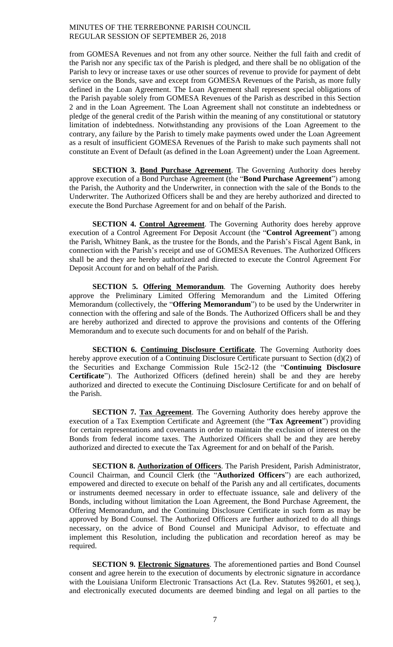from GOMESA Revenues and not from any other source. Neither the full faith and credit of the Parish nor any specific tax of the Parish is pledged, and there shall be no obligation of the Parish to levy or increase taxes or use other sources of revenue to provide for payment of debt service on the Bonds, save and except from GOMESA Revenues of the Parish, as more fully defined in the Loan Agreement. The Loan Agreement shall represent special obligations of the Parish payable solely from GOMESA Revenues of the Parish as described in this Section 2 and in the Loan Agreement. The Loan Agreement shall not constitute an indebtedness or pledge of the general credit of the Parish within the meaning of any constitutional or statutory limitation of indebtedness. Notwithstanding any provisions of the Loan Agreement to the contrary, any failure by the Parish to timely make payments owed under the Loan Agreement as a result of insufficient GOMESA Revenues of the Parish to make such payments shall not constitute an Event of Default (as defined in the Loan Agreement) under the Loan Agreement.

**SECTION 3. Bond Purchase Agreement**. The Governing Authority does hereby approve execution of a Bond Purchase Agreement (the "**Bond Purchase Agreement**") among the Parish, the Authority and the Underwriter, in connection with the sale of the Bonds to the Underwriter. The Authorized Officers shall be and they are hereby authorized and directed to execute the Bond Purchase Agreement for and on behalf of the Parish.

**SECTION 4. Control Agreement**. The Governing Authority does hereby approve execution of a Control Agreement For Deposit Account (the "**Control Agreement**") among the Parish, Whitney Bank, as the trustee for the Bonds, and the Parish's Fiscal Agent Bank, in connection with the Parish's receipt and use of GOMESA Revenues. The Authorized Officers shall be and they are hereby authorized and directed to execute the Control Agreement For Deposit Account for and on behalf of the Parish.

**SECTION 5. Offering Memorandum**. The Governing Authority does hereby approve the Preliminary Limited Offering Memorandum and the Limited Offering Memorandum (collectively, the "**Offering Memorandum**") to be used by the Underwriter in connection with the offering and sale of the Bonds. The Authorized Officers shall be and they are hereby authorized and directed to approve the provisions and contents of the Offering Memorandum and to execute such documents for and on behalf of the Parish.

**SECTION 6. Continuing Disclosure Certificate**. The Governing Authority does hereby approve execution of a Continuing Disclosure Certificate pursuant to Section (d)(2) of the Securities and Exchange Commission Rule 15c2-12 (the "**Continuing Disclosure Certificate**"). The Authorized Officers (defined herein) shall be and they are hereby authorized and directed to execute the Continuing Disclosure Certificate for and on behalf of the Parish.

**SECTION 7. Tax Agreement**. The Governing Authority does hereby approve the execution of a Tax Exemption Certificate and Agreement (the "**Tax Agreement**") providing for certain representations and covenants in order to maintain the exclusion of interest on the Bonds from federal income taxes. The Authorized Officers shall be and they are hereby authorized and directed to execute the Tax Agreement for and on behalf of the Parish.

**SECTION 8. Authorization of Officers**. The Parish President, Parish Administrator, Council Chairman, and Council Clerk (the "**Authorized Officers**") are each authorized, empowered and directed to execute on behalf of the Parish any and all certificates, documents or instruments deemed necessary in order to effectuate issuance, sale and delivery of the Bonds, including without limitation the Loan Agreement, the Bond Purchase Agreement, the Offering Memorandum, and the Continuing Disclosure Certificate in such form as may be approved by Bond Counsel. The Authorized Officers are further authorized to do all things necessary, on the advice of Bond Counsel and Municipal Advisor, to effectuate and implement this Resolution, including the publication and recordation hereof as may be required.

**SECTION 9. Electronic Signatures**. The aforementioned parties and Bond Counsel consent and agree herein to the execution of documents by electronic signature in accordance with the Louisiana Uniform Electronic Transactions Act (La. Rev. Statutes 9§2601, et seq.), and electronically executed documents are deemed binding and legal on all parties to the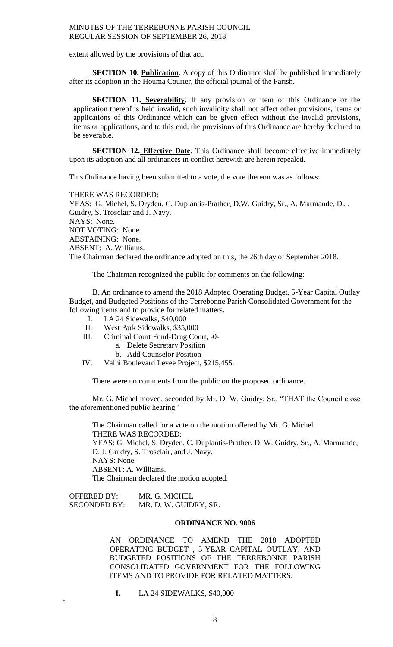extent allowed by the provisions of that act.

**SECTION 10. Publication**. A copy of this Ordinance shall be published immediately after its adoption in the Houma Courier, the official journal of the Parish.

**SECTION 11. Severability**. If any provision or item of this Ordinance or the application thereof is held invalid, such invalidity shall not affect other provisions, items or applications of this Ordinance which can be given effect without the invalid provisions, items or applications, and to this end, the provisions of this Ordinance are hereby declared to be severable.

**SECTION 12. Effective Date**. This Ordinance shall become effective immediately upon its adoption and all ordinances in conflict herewith are herein repealed.

This Ordinance having been submitted to a vote, the vote thereon was as follows:

THERE WAS RECORDED:

YEAS: G. Michel, S. Dryden, C. Duplantis-Prather, D.W. Guidry, Sr., A. Marmande, D.J. Guidry, S. Trosclair and J. Navy. NAYS: None. NOT VOTING: None. ABSTAINING: None. ABSENT: A. Williams. The Chairman declared the ordinance adopted on this, the 26th day of September 2018.

The Chairman recognized the public for comments on the following:

B. An ordinance to amend the 2018 Adopted Operating Budget, 5-Year Capital Outlay Budget, and Budgeted Positions of the Terrebonne Parish Consolidated Government for the following items and to provide for related matters.

- I. LA 24 Sidewalks, \$40,000
- II. West Park Sidewalks, \$35,000
- III. Criminal Court Fund-Drug Court, -0
	- a. Delete Secretary Position
	- b. Add Counselor Position
- IV. Valhi Boulevard Levee Project, \$215,455.

There were no comments from the public on the proposed ordinance.

Mr. G. Michel moved, seconded by Mr. D. W. Guidry, Sr., "THAT the Council close the aforementioned public hearing."

The Chairman called for a vote on the motion offered by Mr. G. Michel. THERE WAS RECORDED: YEAS: G. Michel, S. Dryden, C. Duplantis-Prather, D. W. Guidry, Sr., A. Marmande, D. J. Guidry, S. Trosclair, and J. Navy. NAYS: None. ABSENT: A. Williams. The Chairman declared the motion adopted.

OFFERED BY: MR. G. MICHEL SECONDED BY: MR. D. W. GUIDRY, SR.

,

#### **ORDINANCE NO. 9006**

AN ORDINANCE TO AMEND THE 2018 ADOPTED OPERATING BUDGET , 5-YEAR CAPITAL OUTLAY, AND BUDGETED POSITIONS OF THE TERREBONNE PARISH CONSOLIDATED GOVERNMENT FOR THE FOLLOWING ITEMS AND TO PROVIDE FOR RELATED MATTERS.

**I.** LA 24 SIDEWALKS, \$40,000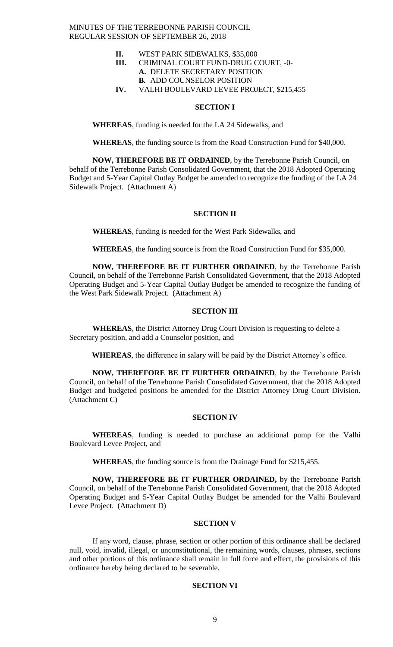- **II.** WEST PARK SIDEWALKS, \$35,000
- **III.** CRIMINAL COURT FUND-DRUG COURT, -0- **A.** DELETE SECRETARY POSITION **B.** ADD COUNSELOR POSITION
- **IV.** VALHI BOULEVARD LEVEE PROJECT, \$215,455

#### **SECTION I**

**WHEREAS**, funding is needed for the LA 24 Sidewalks, and

**WHEREAS**, the funding source is from the Road Construction Fund for \$40,000.

**NOW, THEREFORE BE IT ORDAINED**, by the Terrebonne Parish Council, on behalf of the Terrebonne Parish Consolidated Government, that the 2018 Adopted Operating Budget and 5-Year Capital Outlay Budget be amended to recognize the funding of the LA 24 Sidewalk Project. (Attachment A)

# **SECTION II**

**WHEREAS**, funding is needed for the West Park Sidewalks, and

**WHEREAS**, the funding source is from the Road Construction Fund for \$35,000.

**NOW, THEREFORE BE IT FURTHER ORDAINED**, by the Terrebonne Parish Council, on behalf of the Terrebonne Parish Consolidated Government, that the 2018 Adopted Operating Budget and 5-Year Capital Outlay Budget be amended to recognize the funding of the West Park Sidewalk Project. (Attachment A)

# **SECTION III**

**WHEREAS**, the District Attorney Drug Court Division is requesting to delete a Secretary position, and add a Counselor position, and

**WHEREAS**, the difference in salary will be paid by the District Attorney's office.

**NOW, THEREFORE BE IT FURTHER ORDAINED**, by the Terrebonne Parish Council, on behalf of the Terrebonne Parish Consolidated Government, that the 2018 Adopted Budget and budgeted positions be amended for the District Attorney Drug Court Division. (Attachment C)

#### **SECTION IV**

**WHEREAS**, funding is needed to purchase an additional pump for the Valhi Boulevard Levee Project, and

**WHEREAS**, the funding source is from the Drainage Fund for \$215,455.

**NOW, THEREFORE BE IT FURTHER ORDAINED,** by the Terrebonne Parish Council, on behalf of the Terrebonne Parish Consolidated Government, that the 2018 Adopted Operating Budget and 5-Year Capital Outlay Budget be amended for the Valhi Boulevard Levee Project. (Attachment D)

## **SECTION V**

If any word, clause, phrase, section or other portion of this ordinance shall be declared null, void, invalid, illegal, or unconstitutional, the remaining words, clauses, phrases, sections and other portions of this ordinance shall remain in full force and effect, the provisions of this ordinance hereby being declared to be severable.

# **SECTION VI**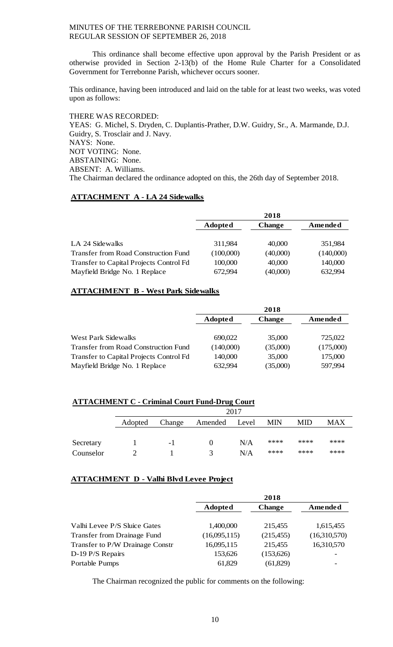This ordinance shall become effective upon approval by the Parish President or as otherwise provided in Section 2-13(b) of the Home Rule Charter for a Consolidated Government for Terrebonne Parish, whichever occurs sooner.

This ordinance, having been introduced and laid on the table for at least two weeks, was voted upon as follows:

THERE WAS RECORDED: YEAS: G. Michel, S. Dryden, C. Duplantis-Prather, D.W. Guidry, Sr., A. Marmande, D.J. Guidry, S. Trosclair and J. Navy. NAYS: None. NOT VOTING: None. ABSTAINING: None. ABSENT: A. Williams. The Chairman declared the ordinance adopted on this, the 26th day of September 2018.

# **ATTACHMENT A - LA 24 Sidewalks**

|                                             |           | 2018          |           |
|---------------------------------------------|-----------|---------------|-----------|
|                                             | Adopted   | <b>Change</b> | Amended   |
|                                             |           |               |           |
| LA 24 Sidewalks                             | 311,984   | 40,000        | 351,984   |
| <b>Transfer from Road Construction Fund</b> | (100,000) | (40,000)      | (140,000) |
| Transfer to Capital Projects Control Fd     | 100,000   | 40,000        | 140,000   |
| Mayfield Bridge No. 1 Replace               | 672,994   | (40,000)      | 632,994   |

# **ATTACHMENT B - West Park Sidewalks**

|                                             |                | 2018          |           |
|---------------------------------------------|----------------|---------------|-----------|
|                                             | <b>Adopted</b> | <b>Change</b> | Amended   |
|                                             |                |               |           |
| <b>West Park Sidewalks</b>                  | 690,022        | 35,000        | 725,022   |
| <b>Transfer from Road Construction Fund</b> | (140,000)      | (35,000)      | (175,000) |
| Transfer to Capital Projects Control Fd     | 140,000        | 35,000        | 175,000   |
| Mayfield Bridge No. 1 Replace               | 632,994        | (35,000)      | 597,994   |

# **ATTACHMENT C - Criminal Court Fund-Drug Court**

|           |         |        |               | 2017 |            |      |      |
|-----------|---------|--------|---------------|------|------------|------|------|
|           | Adopted | Change | Amended Level |      | <b>MIN</b> | MID  | MAX  |
|           |         |        |               |      |            |      |      |
| Secretary |         | -1     |               | N/A  | ****       | **** | **** |
| Counselor |         |        |               | N/A  | ****       | **** | **** |

# **ATTACHMENT D - Valhi Blvd Levee Project**

|                                 |                | 2018          |              |
|---------------------------------|----------------|---------------|--------------|
|                                 | <b>Adopted</b> | <b>Change</b> | Amended      |
|                                 |                |               |              |
| Valhi Levee P/S Sluice Gates    | 1,400,000      | 215,455       | 1,615,455    |
| Transfer from Drainage Fund     | (16,095,115)   | (215, 455)    | (16,310,570) |
| Transfer to P/W Drainage Constr | 16,095,115     | 215,455       | 16,310,570   |
| $D-19 P/S$ Repairs              | 153,626        | (153, 626)    |              |
| Portable Pumps                  | 61,829         | (61, 829)     |              |

The Chairman recognized the public for comments on the following: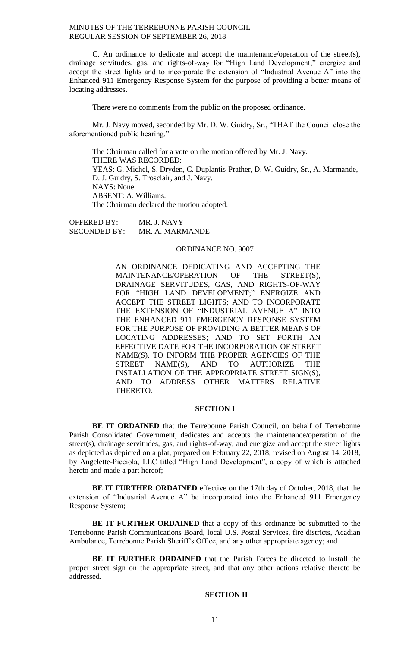C. An ordinance to dedicate and accept the maintenance/operation of the street(s), drainage servitudes, gas, and rights-of-way for "High Land Development;" energize and accept the street lights and to incorporate the extension of "Industrial Avenue A" into the Enhanced 911 Emergency Response System for the purpose of providing a better means of locating addresses.

There were no comments from the public on the proposed ordinance.

Mr. J. Navy moved, seconded by Mr. D. W. Guidry, Sr., "THAT the Council close the aforementioned public hearing."

The Chairman called for a vote on the motion offered by Mr. J. Navy. THERE WAS RECORDED: YEAS: G. Michel, S. Dryden, C. Duplantis-Prather, D. W. Guidry, Sr., A. Marmande, D. J. Guidry, S. Trosclair, and J. Navy. NAYS: None. ABSENT: A. Williams. The Chairman declared the motion adopted.

OFFERED BY: MR. J. NAVY SECONDED BY: MR. A. MARMANDE

## ORDINANCE NO. 9007

AN ORDINANCE DEDICATING AND ACCEPTING THE MAINTENANCE/OPERATION OF THE STREET(S), DRAINAGE SERVITUDES, GAS, AND RIGHTS-OF-WAY FOR "HIGH LAND DEVELOPMENT;" ENERGIZE AND ACCEPT THE STREET LIGHTS; AND TO INCORPORATE THE EXTENSION OF "INDUSTRIAL AVENUE A" INTO THE ENHANCED 911 EMERGENCY RESPONSE SYSTEM FOR THE PURPOSE OF PROVIDING A BETTER MEANS OF LOCATING ADDRESSES; AND TO SET FORTH AN EFFECTIVE DATE FOR THE INCORPORATION OF STREET NAME(S), TO INFORM THE PROPER AGENCIES OF THE STREET NAME(S), AND TO AUTHORIZE THE INSTALLATION OF THE APPROPRIATE STREET SIGN(S), AND TO ADDRESS OTHER MATTERS RELATIVE THERETO.

## **SECTION I**

**BE IT ORDAINED** that the Terrebonne Parish Council, on behalf of Terrebonne Parish Consolidated Government, dedicates and accepts the maintenance/operation of the street(s), drainage servitudes, gas, and rights-of-way; and energize and accept the street lights as depicted as depicted on a plat, prepared on February 22, 2018, revised on August 14, 2018, by Angelette-Picciola, LLC titled "High Land Development", a copy of which is attached hereto and made a part hereof;

**BE IT FURTHER ORDAINED** effective on the 17th day of October, 2018, that the extension of "Industrial Avenue A" be incorporated into the Enhanced 911 Emergency Response System;

**BE IT FURTHER ORDAINED** that a copy of this ordinance be submitted to the Terrebonne Parish Communications Board, local U.S. Postal Services, fire districts, Acadian Ambulance, Terrebonne Parish Sheriff's Office, and any other appropriate agency; and

**BE IT FURTHER ORDAINED** that the Parish Forces be directed to install the proper street sign on the appropriate street, and that any other actions relative thereto be addressed.

#### **SECTION II**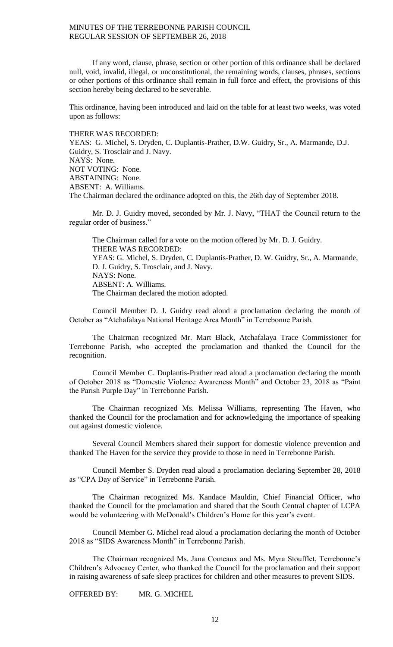If any word, clause, phrase, section or other portion of this ordinance shall be declared null, void, invalid, illegal, or unconstitutional, the remaining words, clauses, phrases, sections or other portions of this ordinance shall remain in full force and effect, the provisions of this section hereby being declared to be severable.

This ordinance, having been introduced and laid on the table for at least two weeks, was voted upon as follows:

THERE WAS RECORDED:

YEAS: G. Michel, S. Dryden, C. Duplantis-Prather, D.W. Guidry, Sr., A. Marmande, D.J. Guidry, S. Trosclair and J. Navy. NAYS: None. NOT VOTING: None. ABSTAINING: None. ABSENT: A. Williams. The Chairman declared the ordinance adopted on this, the 26th day of September 2018.

Mr. D. J. Guidry moved, seconded by Mr. J. Navy, "THAT the Council return to the regular order of business."

The Chairman called for a vote on the motion offered by Mr. D. J. Guidry. THERE WAS RECORDED: YEAS: G. Michel, S. Dryden, C. Duplantis-Prather, D. W. Guidry, Sr., A. Marmande, D. J. Guidry, S. Trosclair, and J. Navy. NAYS: None. ABSENT: A. Williams. The Chairman declared the motion adopted.

Council Member D. J. Guidry read aloud a proclamation declaring the month of October as "Atchafalaya National Heritage Area Month" in Terrebonne Parish.

The Chairman recognized Mr. Mart Black, Atchafalaya Trace Commissioner for Terrebonne Parish, who accepted the proclamation and thanked the Council for the recognition.

Council Member C. Duplantis-Prather read aloud a proclamation declaring the month of October 2018 as "Domestic Violence Awareness Month" and October 23, 2018 as "Paint the Parish Purple Day" in Terrebonne Parish.

The Chairman recognized Ms. Melissa Williams, representing The Haven, who thanked the Council for the proclamation and for acknowledging the importance of speaking out against domestic violence.

Several Council Members shared their support for domestic violence prevention and thanked The Haven for the service they provide to those in need in Terrebonne Parish.

Council Member S. Dryden read aloud a proclamation declaring September 28, 2018 as "CPA Day of Service" in Terrebonne Parish.

The Chairman recognized Ms. Kandace Mauldin, Chief Financial Officer, who thanked the Council for the proclamation and shared that the South Central chapter of LCPA would be volunteering with McDonald's Children's Home for this year's event.

Council Member G. Michel read aloud a proclamation declaring the month of October 2018 as "SIDS Awareness Month" in Terrebonne Parish.

The Chairman recognized Ms. Jana Comeaux and Ms. Myra Stoufflet, Terrebonne's Children's Advocacy Center, who thanked the Council for the proclamation and their support in raising awareness of safe sleep practices for children and other measures to prevent SIDS.

OFFERED BY: MR. G. MICHEL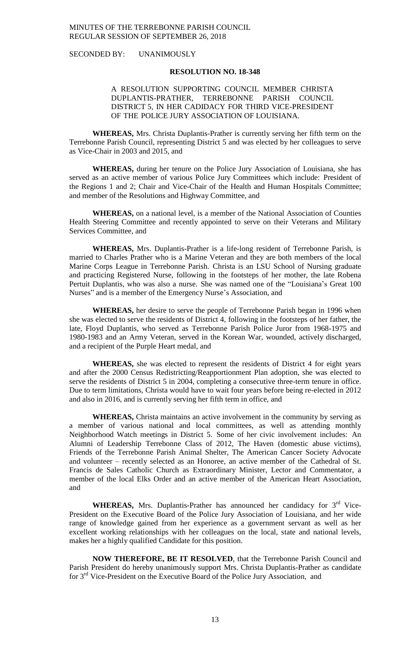SECONDED BY: UNANIMOUSLY

## **RESOLUTION NO. 18-348**

# A RESOLUTION SUPPORTING COUNCIL MEMBER CHRISTA DUPLANTIS-PRATHER, TERREBONNE PARISH COUNCIL DISTRICT 5, IN HER CADIDACY FOR THIRD VICE-PRESIDENT OF THE POLICE JURY ASSOCIATION OF LOUISIANA.

**WHEREAS,** Mrs. Christa Duplantis-Prather is currently serving her fifth term on the Terrebonne Parish Council, representing District 5 and was elected by her colleagues to serve as Vice-Chair in 2003 and 2015, and

**WHEREAS,** during her tenure on the Police Jury Association of Louisiana, she has served as an active member of various Police Jury Committees which include: President of the Regions 1 and 2; Chair and Vice-Chair of the Health and Human Hospitals Committee; and member of the Resolutions and Highway Committee, and

**WHEREAS,** on a national level, is a member of the National Association of Counties Health Steering Committee and recently appointed to serve on their Veterans and Military Services Committee, and

**WHEREAS,** Mrs. Duplantis-Prather is a life-long resident of Terrebonne Parish, is married to Charles Prather who is a Marine Veteran and they are both members of the local Marine Corps League in Terrebonne Parish. Christa is an LSU School of Nursing graduate and practicing Registered Nurse, following in the footsteps of her mother, the late Robena Pertuit Duplantis, who was also a nurse. She was named one of the "Louisiana's Great 100 Nurses" and is a member of the Emergency Nurse's Association, and

**WHEREAS,** her desire to serve the people of Terrebonne Parish began in 1996 when she was elected to serve the residents of District 4, following in the footsteps of her father, the late, Floyd Duplantis, who served as Terrebonne Parish Police Juror from 1968-1975 and 1980-1983 and an Army Veteran, served in the Korean War, wounded, actively discharged, and a recipient of the Purple Heart medal, and

**WHEREAS,** she was elected to represent the residents of District 4 for eight years and after the 2000 Census Redistricting/Reapportionment Plan adoption, she was elected to serve the residents of District 5 in 2004, completing a consecutive three-term tenure in office. Due to term limitations, Christa would have to wait four years before being re-elected in 2012 and also in 2016, and is currently serving her fifth term in office, and

**WHEREAS,** Christa maintains an active involvement in the community by serving as a member of various national and local committees, as well as attending monthly Neighborhood Watch meetings in District 5. Some of her civic involvement includes: An Alumni of Leadership Terrebonne Class of 2012, The Haven (domestic abuse victims), Friends of the Terrebonne Parish Animal Shelter, The American Cancer Society Advocate and volunteer – recently selected as an Honoree, an active member of the Cathedral of St. Francis de Sales Catholic Church as Extraordinary Minister, Lector and Commentator, a member of the local Elks Order and an active member of the American Heart Association, and

WHEREAS, Mrs. Duplantis-Prather has announced her candidacy for 3<sup>rd</sup> Vice-President on the Executive Board of the Police Jury Association of Louisiana, and her wide range of knowledge gained from her experience as a government servant as well as her excellent working relationships with her colleagues on the local, state and national levels, makes her a highly qualified Candidate for this position.

**NOW THEREFORE, BE IT RESOLVED**, that the Terrebonne Parish Council and Parish President do hereby unanimously support Mrs. Christa Duplantis-Prather as candidate for 3 rd Vice-President on the Executive Board of the Police Jury Association, and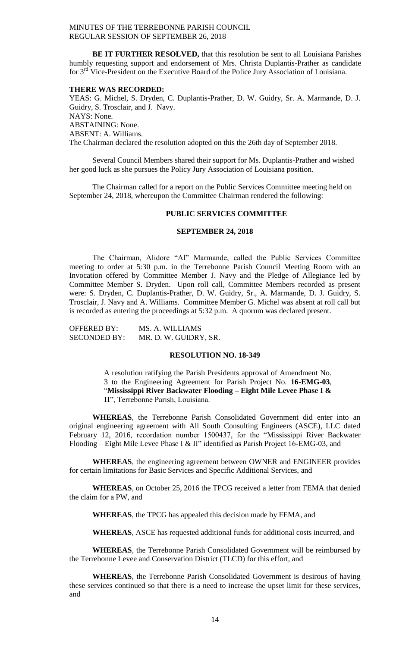**BE IT FURTHER RESOLVED,** that this resolution be sent to all Louisiana Parishes humbly requesting support and endorsement of Mrs. Christa Duplantis-Prather as candidate for 3<sup>rd</sup> Vice-President on the Executive Board of the Police Jury Association of Louisiana.

#### **THERE WAS RECORDED:**

YEAS: G. Michel, S. Dryden, C. Duplantis-Prather, D. W. Guidry, Sr. A. Marmande, D. J. Guidry, S. Trosclair, and J. Navy. NAYS: None. ABSTAINING: None. ABSENT: A. Williams. The Chairman declared the resolution adopted on this the 26th day of September 2018.

Several Council Members shared their support for Ms. Duplantis-Prather and wished her good luck as she pursues the Policy Jury Association of Louisiana position.

The Chairman called for a report on the Public Services Committee meeting held on September 24, 2018, whereupon the Committee Chairman rendered the following:

## **PUBLIC SERVICES COMMITTEE**

# **SEPTEMBER 24, 2018**

The Chairman, Alidore "Al" Marmande, called the Public Services Committee meeting to order at 5:30 p.m. in the Terrebonne Parish Council Meeting Room with an Invocation offered by Committee Member J. Navy and the Pledge of Allegiance led by Committee Member S. Dryden. Upon roll call, Committee Members recorded as present were: S. Dryden, C. Duplantis-Prather, D. W. Guidry, Sr., A. Marmande, D. J. Guidry, S. Trosclair, J. Navy and A. Williams. Committee Member G. Michel was absent at roll call but is recorded as entering the proceedings at 5:32 p.m. A quorum was declared present.

| <b>OFFERED BY:</b>  | MS. A. WILLIAMS       |
|---------------------|-----------------------|
| <b>SECONDED BY:</b> | MR. D. W. GUIDRY, SR. |

## **RESOLUTION NO. 18-349**

A resolution ratifying the Parish Presidents approval of Amendment No. 3 to the Engineering Agreement for Parish Project No. **16-EMG-03**, "**Mississippi River Backwater Flooding – Eight Mile Levee Phase I & II**", Terrebonne Parish, Louisiana.

**WHEREAS**, the Terrebonne Parish Consolidated Government did enter into an original engineering agreement with All South Consulting Engineers (ASCE), LLC dated February 12, 2016, recordation number 1500437, for the "Mississippi River Backwater Flooding – Eight Mile Levee Phase I & II" identified as Parish Project 16-EMG-03, and

**WHEREAS**, the engineering agreement between OWNER and ENGINEER provides for certain limitations for Basic Services and Specific Additional Services, and

**WHEREAS**, on October 25, 2016 the TPCG received a letter from FEMA that denied the claim for a PW, and

**WHEREAS**, the TPCG has appealed this decision made by FEMA, and

**WHEREAS**, ASCE has requested additional funds for additional costs incurred, and

**WHEREAS**, the Terrebonne Parish Consolidated Government will be reimbursed by the Terrebonne Levee and Conservation District (TLCD) for this effort, and

**WHEREAS**, the Terrebonne Parish Consolidated Government is desirous of having these services continued so that there is a need to increase the upset limit for these services, and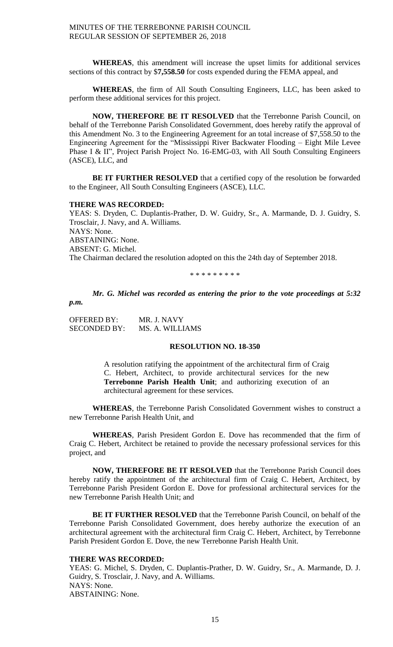**WHEREAS**, this amendment will increase the upset limits for additional services sections of this contract by \$**7,558.50** for costs expended during the FEMA appeal, and

**WHEREAS**, the firm of All South Consulting Engineers, LLC, has been asked to perform these additional services for this project.

**NOW, THEREFORE BE IT RESOLVED** that the Terrebonne Parish Council, on behalf of the Terrebonne Parish Consolidated Government, does hereby ratify the approval of this Amendment No. 3 to the Engineering Agreement for an total increase of \$7,558.50 to the Engineering Agreement for the "Mississippi River Backwater Flooding – Eight Mile Levee Phase I & II", Project Parish Project No. 16-EMG-03, with All South Consulting Engineers (ASCE), LLC, and

**BE IT FURTHER RESOLVED** that a certified copy of the resolution be forwarded to the Engineer, All South Consulting Engineers (ASCE), LLC.

#### **THERE WAS RECORDED:**

YEAS: S. Dryden, C. Duplantis-Prather, D. W. Guidry, Sr., A. Marmande, D. J. Guidry, S. Trosclair, J. Navy, and A. Williams. NAYS: None. ABSTAINING: None. ABSENT: G. Michel. The Chairman declared the resolution adopted on this the 24th day of September 2018.

\* \* \* \* \* \* \* \* \*

*Mr. G. Michel was recorded as entering the prior to the vote proceedings at 5:32* 

OFFERED BY: MR. J. NAVY

*p.m.*

# SECONDED BY: MS. A. WILLIAMS

## **RESOLUTION NO. 18-350**

A resolution ratifying the appointment of the architectural firm of Craig C. Hebert, Architect, to provide architectural services for the new **Terrebonne Parish Health Unit**; and authorizing execution of an architectural agreement for these services.

**WHEREAS**, the Terrebonne Parish Consolidated Government wishes to construct a new Terrebonne Parish Health Unit, and

**WHEREAS**, Parish President Gordon E. Dove has recommended that the firm of Craig C. Hebert, Architect be retained to provide the necessary professional services for this project, and

**NOW, THEREFORE BE IT RESOLVED** that the Terrebonne Parish Council does hereby ratify the appointment of the architectural firm of Craig C. Hebert, Architect, by Terrebonne Parish President Gordon E. Dove for professional architectural services for the new Terrebonne Parish Health Unit; and

**BE IT FURTHER RESOLVED** that the Terrebonne Parish Council, on behalf of the Terrebonne Parish Consolidated Government, does hereby authorize the execution of an architectural agreement with the architectural firm Craig C. Hebert, Architect, by Terrebonne Parish President Gordon E. Dove, the new Terrebonne Parish Health Unit.

# **THERE WAS RECORDED:**

YEAS: G. Michel, S. Dryden, C. Duplantis-Prather, D. W. Guidry, Sr., A. Marmande, D. J. Guidry, S. Trosclair, J. Navy, and A. Williams. NAYS: None. ABSTAINING: None.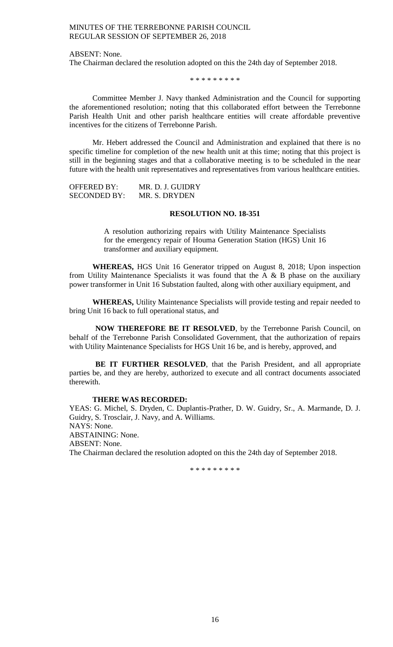ABSENT: None.

The Chairman declared the resolution adopted on this the 24th day of September 2018.

\* \* \* \* \* \* \* \* \*

Committee Member J. Navy thanked Administration and the Council for supporting the aforementioned resolution; noting that this collaborated effort between the Terrebonne Parish Health Unit and other parish healthcare entities will create affordable preventive incentives for the citizens of Terrebonne Parish.

Mr. Hebert addressed the Council and Administration and explained that there is no specific timeline for completion of the new health unit at this time; noting that this project is still in the beginning stages and that a collaborative meeting is to be scheduled in the near future with the health unit representatives and representatives from various healthcare entities.

OFFERED BY: MR. D. J. GUIDRY SECONDED BY: MR. S. DRYDEN

## **RESOLUTION NO. 18-351**

A resolution authorizing repairs with Utility Maintenance Specialists for the emergency repair of Houma Generation Station (HGS) Unit 16 transformer and auxiliary equipment.

**WHEREAS,** HGS Unit 16 Generator tripped on August 8, 2018; Upon inspection from Utility Maintenance Specialists it was found that the A  $\&$  B phase on the auxiliary power transformer in Unit 16 Substation faulted, along with other auxiliary equipment, and

**WHEREAS,** Utility Maintenance Specialists will provide testing and repair needed to bring Unit 16 back to full operational status, and

**NOW THEREFORE BE IT RESOLVED**, by the Terrebonne Parish Council, on behalf of the Terrebonne Parish Consolidated Government, that the authorization of repairs with Utility Maintenance Specialists for HGS Unit 16 be, and is hereby, approved, and

**BE IT FURTHER RESOLVED**, that the Parish President, and all appropriate parties be, and they are hereby, authorized to execute and all contract documents associated therewith.

#### **THERE WAS RECORDED:**

YEAS: G. Michel, S. Dryden, C. Duplantis-Prather, D. W. Guidry, Sr., A. Marmande, D. J. Guidry, S. Trosclair, J. Navy, and A. Williams. NAYS: None. ABSTAINING: None. ABSENT: None. The Chairman declared the resolution adopted on this the 24th day of September 2018.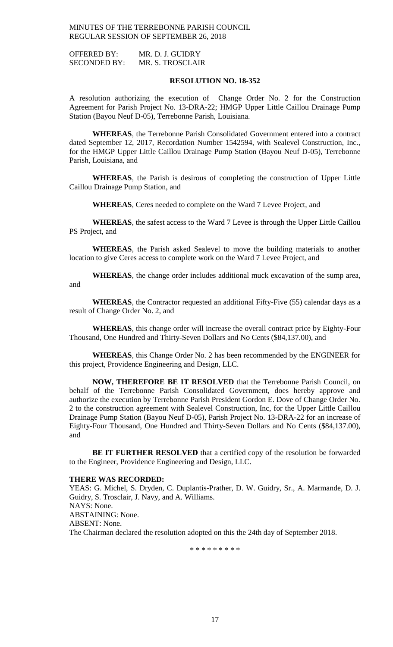OFFERED BY: MR. D. J. GUIDRY SECONDED BY: MR. S. TROSCLAIR

#### **RESOLUTION NO. 18-352**

A resolution authorizing the execution of Change Order No. 2 for the Construction Agreement for Parish Project No. 13-DRA-22; HMGP Upper Little Caillou Drainage Pump Station (Bayou Neuf D-05), Terrebonne Parish, Louisiana.

**WHEREAS**, the Terrebonne Parish Consolidated Government entered into a contract dated September 12, 2017, Recordation Number 1542594, with Sealevel Construction, Inc., for the HMGP Upper Little Caillou Drainage Pump Station (Bayou Neuf D-05), Terrebonne Parish, Louisiana, and

**WHEREAS**, the Parish is desirous of completing the construction of Upper Little Caillou Drainage Pump Station, and

**WHEREAS**, Ceres needed to complete on the Ward 7 Levee Project, and

**WHEREAS**, the safest access to the Ward 7 Levee is through the Upper Little Caillou PS Project, and

**WHEREAS**, the Parish asked Sealevel to move the building materials to another location to give Ceres access to complete work on the Ward 7 Levee Project, and

**WHEREAS**, the change order includes additional muck excavation of the sump area, and

**WHEREAS**, the Contractor requested an additional Fifty-Five (55) calendar days as a result of Change Order No. 2, and

**WHEREAS**, this change order will increase the overall contract price by Eighty-Four Thousand, One Hundred and Thirty-Seven Dollars and No Cents (\$84,137.00), and

**WHEREAS**, this Change Order No. 2 has been recommended by the ENGINEER for this project, Providence Engineering and Design, LLC.

**NOW, THEREFORE BE IT RESOLVED** that the Terrebonne Parish Council, on behalf of the Terrebonne Parish Consolidated Government, does hereby approve and authorize the execution by Terrebonne Parish President Gordon E. Dove of Change Order No. 2 to the construction agreement with Sealevel Construction, Inc, for the Upper Little Caillou Drainage Pump Station (Bayou Neuf D-05), Parish Project No. 13-DRA-22 for an increase of Eighty-Four Thousand, One Hundred and Thirty-Seven Dollars and No Cents (\$84,137.00), and

**BE IT FURTHER RESOLVED** that a certified copy of the resolution be forwarded to the Engineer, Providence Engineering and Design, LLC.

## **THERE WAS RECORDED:**

YEAS: G. Michel, S. Dryden, C. Duplantis-Prather, D. W. Guidry, Sr., A. Marmande, D. J. Guidry, S. Trosclair, J. Navy, and A. Williams. NAYS: None. ABSTAINING: None. ABSENT: None. The Chairman declared the resolution adopted on this the 24th day of September 2018.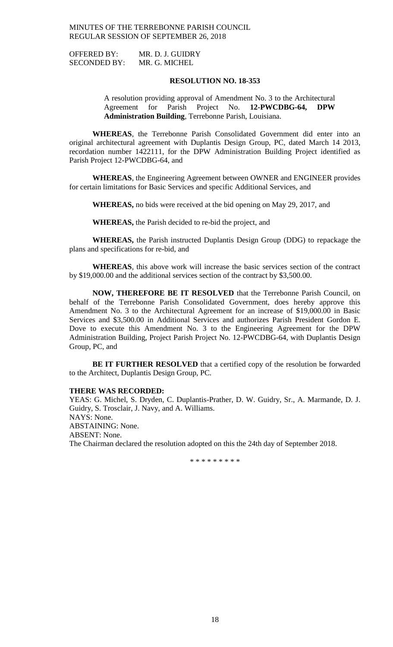OFFERED BY: MR. D. J. GUIDRY SECONDED BY: MR. G. MICHEL

## **RESOLUTION NO. 18-353**

A resolution providing approval of Amendment No. 3 to the Architectural Agreement for Parish Project No. **12-PWCDBG-64, DPW Administration Building**, Terrebonne Parish, Louisiana.

**WHEREAS**, the Terrebonne Parish Consolidated Government did enter into an original architectural agreement with Duplantis Design Group, PC, dated March 14 2013, recordation number 1422111, for the DPW Administration Building Project identified as Parish Project 12-PWCDBG-64, and

**WHEREAS**, the Engineering Agreement between OWNER and ENGINEER provides for certain limitations for Basic Services and specific Additional Services, and

**WHEREAS,** no bids were received at the bid opening on May 29, 2017, and

**WHEREAS,** the Parish decided to re-bid the project, and

**WHEREAS,** the Parish instructed Duplantis Design Group (DDG) to repackage the plans and specifications for re-bid, and

**WHEREAS**, this above work will increase the basic services section of the contract by \$19,000.00 and the additional services section of the contract by \$3,500.00.

**NOW, THEREFORE BE IT RESOLVED** that the Terrebonne Parish Council, on behalf of the Terrebonne Parish Consolidated Government, does hereby approve this Amendment No. 3 to the Architectural Agreement for an increase of \$19,000.00 in Basic Services and \$3,500.00 in Additional Services and authorizes Parish President Gordon E. Dove to execute this Amendment No. 3 to the Engineering Agreement for the DPW Administration Building, Project Parish Project No. 12-PWCDBG-64, with Duplantis Design Group, PC, and

**BE IT FURTHER RESOLVED** that a certified copy of the resolution be forwarded to the Architect, Duplantis Design Group, PC.

## **THERE WAS RECORDED:**

YEAS: G. Michel, S. Dryden, C. Duplantis-Prather, D. W. Guidry, Sr., A. Marmande, D. J. Guidry, S. Trosclair, J. Navy, and A. Williams. NAYS: None. ABSTAINING: None. ABSENT: None. The Chairman declared the resolution adopted on this the 24th day of September 2018.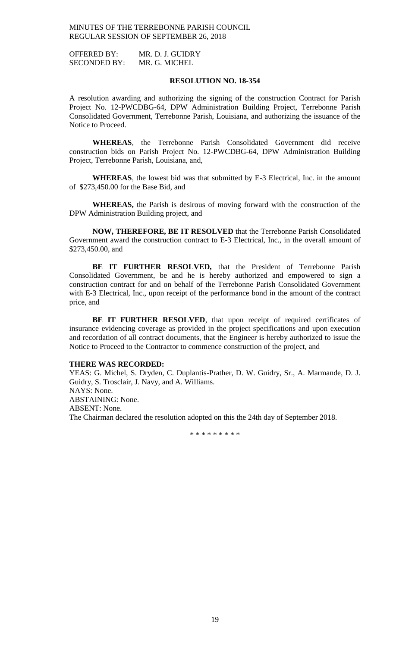OFFERED BY: MR. D. J. GUIDRY SECONDED BY: MR. G. MICHEL

## **RESOLUTION NO. 18-354**

A resolution awarding and authorizing the signing of the construction Contract for Parish Project No. 12-PWCDBG-64, DPW Administration Building Project, Terrebonne Parish Consolidated Government, Terrebonne Parish, Louisiana, and authorizing the issuance of the Notice to Proceed.

**WHEREAS**, the Terrebonne Parish Consolidated Government did receive construction bids on Parish Project No. 12-PWCDBG-64, DPW Administration Building Project, Terrebonne Parish, Louisiana, and,

**WHEREAS**, the lowest bid was that submitted by E-3 Electrical, Inc. in the amount of \$273,450.00 for the Base Bid, and

**WHEREAS,** the Parish is desirous of moving forward with the construction of the DPW Administration Building project, and

**NOW, THEREFORE, BE IT RESOLVED** that the Terrebonne Parish Consolidated Government award the construction contract to E-3 Electrical, Inc., in the overall amount of \$273,450.00, and

**BE IT FURTHER RESOLVED,** that the President of Terrebonne Parish Consolidated Government, be and he is hereby authorized and empowered to sign a construction contract for and on behalf of the Terrebonne Parish Consolidated Government with E-3 Electrical, Inc., upon receipt of the performance bond in the amount of the contract price, and

BE IT FURTHER RESOLVED, that upon receipt of required certificates of insurance evidencing coverage as provided in the project specifications and upon execution and recordation of all contract documents, that the Engineer is hereby authorized to issue the Notice to Proceed to the Contractor to commence construction of the project, and

#### **THERE WAS RECORDED:**

YEAS: G. Michel, S. Dryden, C. Duplantis-Prather, D. W. Guidry, Sr., A. Marmande, D. J. Guidry, S. Trosclair, J. Navy, and A. Williams. NAYS: None. ABSTAINING: None. ABSENT: None. The Chairman declared the resolution adopted on this the 24th day of September 2018.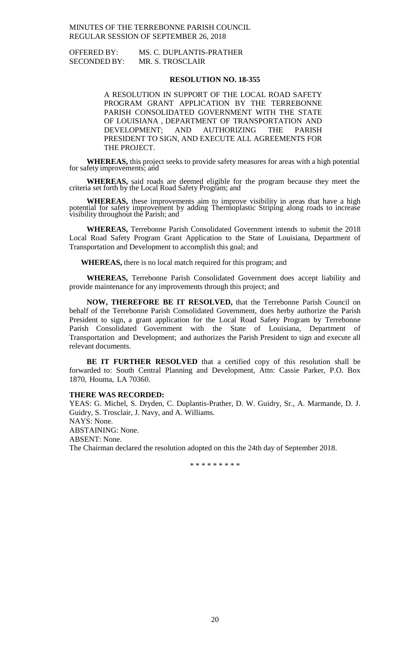OFFERED BY: MS. C. DUPLANTIS-PRATHER SECONDED BY: MR. S. TROSCLAIR

#### **RESOLUTION NO. 18-355**

A RESOLUTION IN SUPPORT OF THE LOCAL ROAD SAFETY PROGRAM GRANT APPLICATION BY THE TERREBONNE PARISH CONSOLIDATED GOVERNMENT WITH THE STATE OF LOUISIANA , DEPARTMENT OF TRANSPORTATION AND DEVELOPMENT; AND AUTHORIZING THE PARISH PRESIDENT TO SIGN, AND EXECUTE ALL AGREEMENTS FOR THE PROJECT.

**WHEREAS,** this project seeks to provide safety measures for areas with a high potential for safety improvements; and

**WHEREAS,** said roads are deemed eligible for the program because they meet the criteria set forth by the Local Road Safety Program; and

**WHEREAS,** these improvements aim to improve visibility in areas that have a high potential for safety improvement by adding Thermoplastic Striping along roads to increase visibility throughout the Parish; and

**WHEREAS,** Terrebonne Parish Consolidated Government intends to submit the 2018 Local Road Safety Program Grant Application to the State of Louisiana, Department of Transportation and Development to accomplish this goal; and

**WHEREAS,** there is no local match required for this program; and

**WHEREAS,** Terrebonne Parish Consolidated Government does accept liability and provide maintenance for any improvements through this project; and

**NOW, THEREFORE BE IT RESOLVED,** that the Terrebonne Parish Council on behalf of the Terrebonne Parish Consolidated Government, does herby authorize the Parish President to sign, a grant application for the Local Road Safety Program by Terrebonne Parish Consolidated Government with the State of Louisiana, Department of Transportation and Development; and authorizes the Parish President to sign and execute all relevant documents.

**BE IT FURTHER RESOLVED** that a certified copy of this resolution shall be forwarded to: South Central Planning and Development, Attn: Cassie Parker, P.O. Box 1870, Houma, LA 70360.

#### **THERE WAS RECORDED:**

YEAS: G. Michel, S. Dryden, C. Duplantis-Prather, D. W. Guidry, Sr., A. Marmande, D. J. Guidry, S. Trosclair, J. Navy, and A. Williams.

NAYS: None.

ABSTAINING: None.

ABSENT: None.

The Chairman declared the resolution adopted on this the 24th day of September 2018.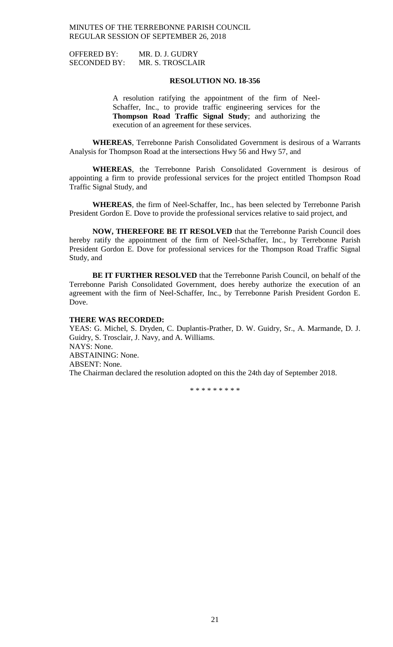OFFERED BY: MR. D. J. GUDRY SECONDED BY: MR. S. TROSCLAIR

## **RESOLUTION NO. 18-356**

A resolution ratifying the appointment of the firm of Neel-Schaffer, Inc., to provide traffic engineering services for the **Thompson Road Traffic Signal Study**; and authorizing the execution of an agreement for these services.

**WHEREAS**, Terrebonne Parish Consolidated Government is desirous of a Warrants Analysis for Thompson Road at the intersections Hwy 56 and Hwy 57, and

**WHEREAS**, the Terrebonne Parish Consolidated Government is desirous of appointing a firm to provide professional services for the project entitled Thompson Road Traffic Signal Study, and

**WHEREAS**, the firm of Neel-Schaffer, Inc., has been selected by Terrebonne Parish President Gordon E. Dove to provide the professional services relative to said project, and

**NOW, THEREFORE BE IT RESOLVED** that the Terrebonne Parish Council does hereby ratify the appointment of the firm of Neel-Schaffer, Inc., by Terrebonne Parish President Gordon E. Dove for professional services for the Thompson Road Traffic Signal Study, and

**BE IT FURTHER RESOLVED** that the Terrebonne Parish Council, on behalf of the Terrebonne Parish Consolidated Government, does hereby authorize the execution of an agreement with the firm of Neel-Schaffer, Inc., by Terrebonne Parish President Gordon E. Dove.

#### **THERE WAS RECORDED:**

YEAS: G. Michel, S. Dryden, C. Duplantis-Prather, D. W. Guidry, Sr., A. Marmande, D. J. Guidry, S. Trosclair, J. Navy, and A. Williams. NAYS: None. ABSTAINING: None. ABSENT: None. The Chairman declared the resolution adopted on this the 24th day of September 2018.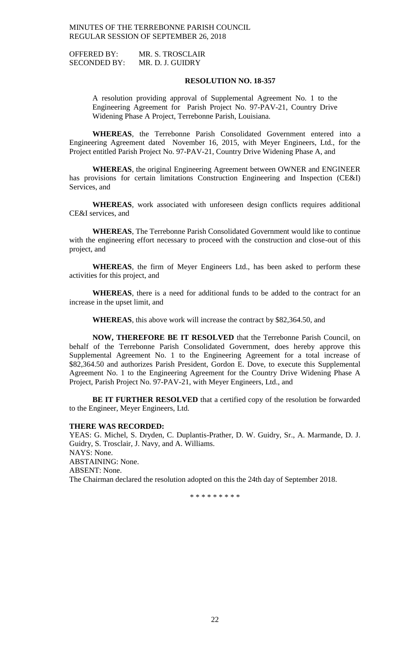OFFERED BY: MR. S. TROSCLAIR SECONDED BY: MR. D. J. GUIDRY

## **RESOLUTION NO. 18-357**

A resolution providing approval of Supplemental Agreement No. 1 to the Engineering Agreement for Parish Project No. 97-PAV-21, Country Drive Widening Phase A Project, Terrebonne Parish, Louisiana.

**WHEREAS**, the Terrebonne Parish Consolidated Government entered into a Engineering Agreement dated November 16, 2015, with Meyer Engineers, Ltd., for the Project entitled Parish Project No. 97-PAV-21, Country Drive Widening Phase A, and

**WHEREAS**, the original Engineering Agreement between OWNER and ENGINEER has provisions for certain limitations Construction Engineering and Inspection (CE&I) Services, and

**WHEREAS**, work associated with unforeseen design conflicts requires additional CE&I services, and

**WHEREAS**, The Terrebonne Parish Consolidated Government would like to continue with the engineering effort necessary to proceed with the construction and close-out of this project, and

**WHEREAS**, the firm of Meyer Engineers Ltd., has been asked to perform these activities for this project, and

**WHEREAS**, there is a need for additional funds to be added to the contract for an increase in the upset limit, and

**WHEREAS**, this above work will increase the contract by \$82,364.50, and

**NOW, THEREFORE BE IT RESOLVED** that the Terrebonne Parish Council, on behalf of the Terrebonne Parish Consolidated Government, does hereby approve this Supplemental Agreement No. 1 to the Engineering Agreement for a total increase of \$82,364.50 and authorizes Parish President, Gordon E. Dove, to execute this Supplemental Agreement No. 1 to the Engineering Agreement for the Country Drive Widening Phase A Project, Parish Project No. 97-PAV-21, with Meyer Engineers, Ltd., and

**BE IT FURTHER RESOLVED** that a certified copy of the resolution be forwarded to the Engineer, Meyer Engineers, Ltd.

## **THERE WAS RECORDED:**

YEAS: G. Michel, S. Dryden, C. Duplantis-Prather, D. W. Guidry, Sr., A. Marmande, D. J. Guidry, S. Trosclair, J. Navy, and A. Williams. NAYS: None. ABSTAINING: None. ABSENT: None. The Chairman declared the resolution adopted on this the 24th day of September 2018.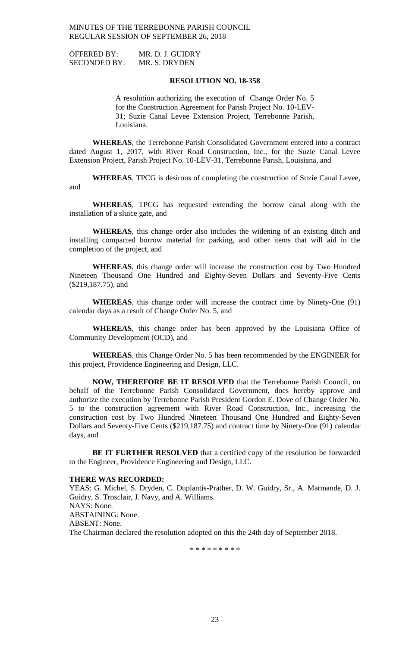OFFERED BY: MR. D. J. GUIDRY SECONDED BY: MR. S. DRYDEN

#### **RESOLUTION NO. 18-358**

A resolution authorizing the execution of Change Order No. 5 for the Construction Agreement for Parish Project No. 10-LEV-31; Suzie Canal Levee Extension Project, Terrebonne Parish, Louisiana.

**WHEREAS**, the Terrebonne Parish Consolidated Government entered into a contract dated August 1, 2017, with River Road Construction, Inc., for the Suzie Canal Levee Extension Project, Parish Project No. 10-LEV-31, Terrebonne Parish, Louisiana, and

**WHEREAS**, TPCG is desirous of completing the construction of Suzie Canal Levee, and

**WHEREAS**, TPCG has requested extending the borrow canal along with the installation of a sluice gate, and

**WHEREAS**, this change order also includes the widening of an existing ditch and installing compacted borrow material for parking, and other items that will aid in the completion of the project, and

**WHEREAS**, this change order will increase the construction cost by Two Hundred Nineteen Thousand One Hundred and Eighty-Seven Dollars and Seventy-Five Cents (\$219,187.75), and

**WHEREAS**, this change order will increase the contract time by Ninety-One (91) calendar days as a result of Change Order No. 5, and

**WHEREAS**, this change order has been approved by the Louisiana Office of Community Development (OCD), and

**WHEREAS**, this Change Order No. 5 has been recommended by the ENGINEER for this project, Providence Engineering and Design, LLC.

**NOW, THEREFORE BE IT RESOLVED** that the Terrebonne Parish Council, on behalf of the Terrebonne Parish Consolidated Government, does hereby approve and authorize the execution by Terrebonne Parish President Gordon E. Dove of Change Order No. 5 to the construction agreement with River Road Construction, Inc., increasing the construction cost by Two Hundred Nineteen Thousand One Hundred and Eighty-Seven Dollars and Seventy-Five Cents (\$219,187.75) and contract time by Ninety-One (91) calendar days, and

**BE IT FURTHER RESOLVED** that a certified copy of the resolution be forwarded to the Engineer, Providence Engineering and Design, LLC.

## **THERE WAS RECORDED:**

YEAS: G. Michel, S. Dryden, C. Duplantis-Prather, D. W. Guidry, Sr., A. Marmande, D. J. Guidry, S. Trosclair, J. Navy, and A. Williams. NAYS: None. ABSTAINING: None. ABSENT: None. The Chairman declared the resolution adopted on this the 24th day of September 2018.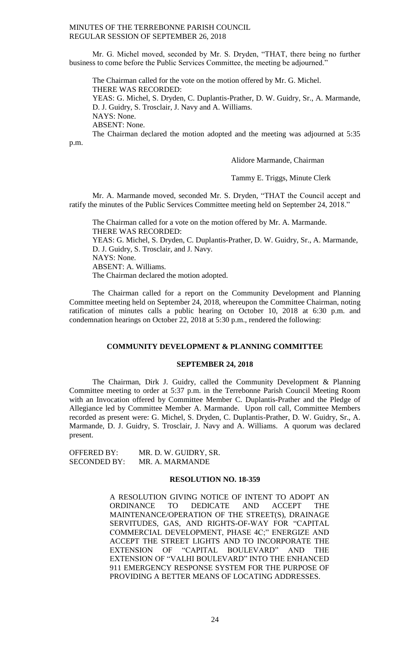Mr. G. Michel moved, seconded by Mr. S. Dryden, "THAT, there being no further business to come before the Public Services Committee, the meeting be adjourned."

The Chairman called for the vote on the motion offered by Mr. G. Michel. THERE WAS RECORDED:

YEAS: G. Michel, S. Dryden, C. Duplantis-Prather, D. W. Guidry, Sr., A. Marmande, D. J. Guidry, S. Trosclair, J. Navy and A. Williams. NAYS: None.

ABSENT: None.

The Chairman declared the motion adopted and the meeting was adjourned at 5:35

p.m.

# Alidore Marmande, Chairman

Tammy E. Triggs, Minute Clerk

Mr. A. Marmande moved, seconded Mr. S. Dryden, "THAT the Council accept and ratify the minutes of the Public Services Committee meeting held on September 24, 2018."

The Chairman called for a vote on the motion offered by Mr. A. Marmande. THERE WAS RECORDED: YEAS: G. Michel, S. Dryden, C. Duplantis-Prather, D. W. Guidry, Sr., A. Marmande, D. J. Guidry, S. Trosclair, and J. Navy. NAYS: None. ABSENT: A. Williams. The Chairman declared the motion adopted.

The Chairman called for a report on the Community Development and Planning Committee meeting held on September 24, 2018, whereupon the Committee Chairman, noting ratification of minutes calls a public hearing on October 10, 2018 at 6:30 p.m. and condemnation hearings on October 22, 2018 at 5:30 p.m., rendered the following:

## **COMMUNITY DEVELOPMENT & PLANNING COMMITTEE**

## **SEPTEMBER 24, 2018**

The Chairman, Dirk J. Guidry, called the Community Development & Planning Committee meeting to order at 5:37 p.m. in the Terrebonne Parish Council Meeting Room with an Invocation offered by Committee Member C. Duplantis-Prather and the Pledge of Allegiance led by Committee Member A. Marmande. Upon roll call, Committee Members recorded as present were: G. Michel, S. Dryden, C. Duplantis-Prather, D. W. Guidry, Sr., A. Marmande, D. J. Guidry, S. Trosclair, J. Navy and A. Williams. A quorum was declared present.

OFFERED BY: MR. D. W. GUIDRY, SR. SECONDED BY: MR. A. MARMANDE

## **RESOLUTION NO. 18-359**

A RESOLUTION GIVING NOTICE OF INTENT TO ADOPT AN ORDINANCE TO DEDICATE AND ACCEPT THE MAINTENANCE/OPERATION OF THE STREET(S), DRAINAGE SERVITUDES, GAS, AND RIGHTS-OF-WAY FOR "CAPITAL COMMERCIAL DEVELOPMENT, PHASE 4C;" ENERGIZE AND ACCEPT THE STREET LIGHTS AND TO INCORPORATE THE EXTENSION OF "CAPITAL BOULEVARD" AND THE EXTENSION OF "VALHI BOULEVARD" INTO THE ENHANCED 911 EMERGENCY RESPONSE SYSTEM FOR THE PURPOSE OF PROVIDING A BETTER MEANS OF LOCATING ADDRESSES.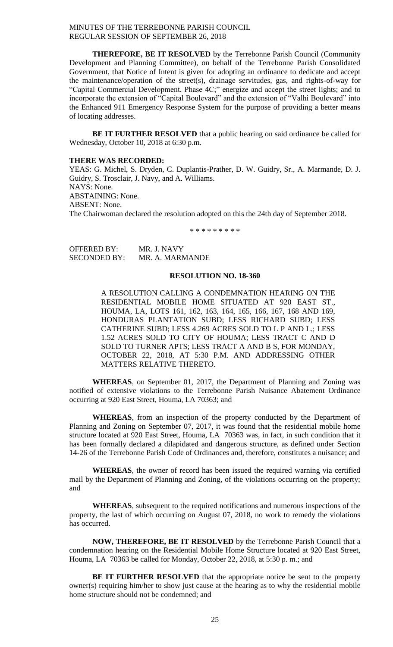**THEREFORE, BE IT RESOLVED** by the Terrebonne Parish Council (Community Development and Planning Committee), on behalf of the Terrebonne Parish Consolidated Government, that Notice of Intent is given for adopting an ordinance to dedicate and accept the maintenance/operation of the street(s), drainage servitudes, gas, and rights-of-way for "Capital Commercial Development, Phase 4C;" energize and accept the street lights; and to incorporate the extension of "Capital Boulevard" and the extension of "Valhi Boulevard" into the Enhanced 911 Emergency Response System for the purpose of providing a better means of locating addresses.

**BE IT FURTHER RESOLVED** that a public hearing on said ordinance be called for Wednesday, October 10, 2018 at 6:30 p.m.

#### **THERE WAS RECORDED:**

YEAS: G. Michel, S. Dryden, C. Duplantis-Prather, D. W. Guidry, Sr., A. Marmande, D. J. Guidry, S. Trosclair, J. Navy, and A. Williams. NAYS: None. ABSTAINING: None. ABSENT: None. The Chairwoman declared the resolution adopted on this the 24th day of September 2018.

\* \* \* \* \* \* \* \* \*

| <b>OFFERED BY:</b>  | MR. J. NAVY     |
|---------------------|-----------------|
| <b>SECONDED BY:</b> | MR. A. MARMANDE |

#### **RESOLUTION NO. 18-360**

A RESOLUTION CALLING A CONDEMNATION HEARING ON THE RESIDENTIAL MOBILE HOME SITUATED AT 920 EAST ST., HOUMA, LA, LOTS 161, 162, 163, 164, 165, 166, 167, 168 AND 169, HONDURAS PLANTATION SUBD; LESS RICHARD SUBD; LESS CATHERINE SUBD; LESS 4.269 ACRES SOLD TO L P AND L.; LESS 1.52 ACRES SOLD TO CITY OF HOUMA; LESS TRACT C AND D SOLD TO TURNER APTS; LESS TRACT A AND B S, FOR MONDAY, OCTOBER 22, 2018, AT 5:30 P.M. AND ADDRESSING OTHER MATTERS RELATIVE THERETO.

**WHEREAS**, on September 01, 2017, the Department of Planning and Zoning was notified of extensive violations to the Terrebonne Parish Nuisance Abatement Ordinance occurring at 920 East Street, Houma, LA 70363; and

**WHEREAS**, from an inspection of the property conducted by the Department of Planning and Zoning on September 07, 2017, it was found that the residential mobile home structure located at 920 East Street, Houma, LA 70363 was, in fact, in such condition that it has been formally declared a dilapidated and dangerous structure, as defined under Section 14-26 of the Terrebonne Parish Code of Ordinances and, therefore, constitutes a nuisance; and

**WHEREAS**, the owner of record has been issued the required warning via certified mail by the Department of Planning and Zoning, of the violations occurring on the property; and

**WHEREAS**, subsequent to the required notifications and numerous inspections of the property, the last of which occurring on August 07, 2018, no work to remedy the violations has occurred.

**NOW, THEREFORE, BE IT RESOLVED** by the Terrebonne Parish Council that a condemnation hearing on the Residential Mobile Home Structure located at 920 East Street, Houma, LA 70363 be called for Monday, October 22, 2018, at 5:30 p. m.; and

**BE IT FURTHER RESOLVED** that the appropriate notice be sent to the property owner(s) requiring him/her to show just cause at the hearing as to why the residential mobile home structure should not be condemned; and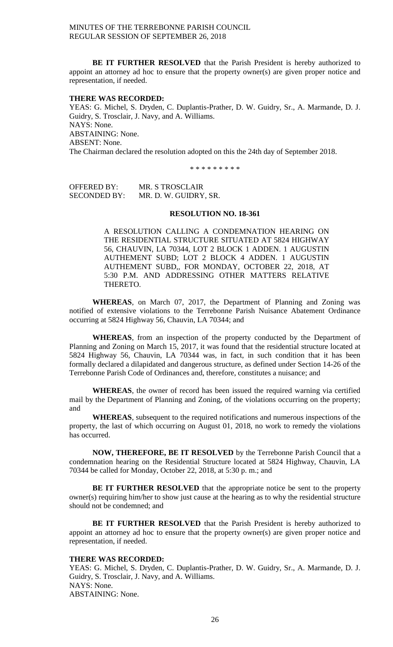**BE IT FURTHER RESOLVED** that the Parish President is hereby authorized to appoint an attorney ad hoc to ensure that the property owner(s) are given proper notice and representation, if needed.

#### **THERE WAS RECORDED:**

YEAS: G. Michel, S. Dryden, C. Duplantis-Prather, D. W. Guidry, Sr., A. Marmande, D. J. Guidry, S. Trosclair, J. Navy, and A. Williams. NAYS: None. ABSTAINING: None. ABSENT: None. The Chairman declared the resolution adopted on this the 24th day of September 2018.

\* \* \* \* \* \* \* \* \*

OFFERED BY: MR. S TROSCLAIR SECONDED BY: MR. D. W. GUIDRY, SR.

## **RESOLUTION NO. 18-361**

A RESOLUTION CALLING A CONDEMNATION HEARING ON THE RESIDENTIAL STRUCTURE SITUATED AT 5824 HIGHWAY 56, CHAUVIN, LA 70344, LOT 2 BLOCK 1 ADDEN. 1 AUGUSTIN AUTHEMENT SUBD; LOT 2 BLOCK 4 ADDEN. 1 AUGUSTIN AUTHEMENT SUBD,, FOR MONDAY, OCTOBER 22, 2018, AT 5:30 P.M. AND ADDRESSING OTHER MATTERS RELATIVE THERETO.

**WHEREAS**, on March 07, 2017, the Department of Planning and Zoning was notified of extensive violations to the Terrebonne Parish Nuisance Abatement Ordinance occurring at 5824 Highway 56, Chauvin, LA 70344; and

**WHEREAS**, from an inspection of the property conducted by the Department of Planning and Zoning on March 15, 2017, it was found that the residential structure located at 5824 Highway 56, Chauvin, LA 70344 was, in fact, in such condition that it has been formally declared a dilapidated and dangerous structure, as defined under Section 14-26 of the Terrebonne Parish Code of Ordinances and, therefore, constitutes a nuisance; and

**WHEREAS**, the owner of record has been issued the required warning via certified mail by the Department of Planning and Zoning, of the violations occurring on the property; and

**WHEREAS**, subsequent to the required notifications and numerous inspections of the property, the last of which occurring on August 01, 2018, no work to remedy the violations has occurred.

**NOW, THEREFORE, BE IT RESOLVED** by the Terrebonne Parish Council that a condemnation hearing on the Residential Structure located at 5824 Highway, Chauvin, LA 70344 be called for Monday, October 22, 2018, at 5:30 p. m.; and

**BE IT FURTHER RESOLVED** that the appropriate notice be sent to the property owner(s) requiring him/her to show just cause at the hearing as to why the residential structure should not be condemned; and

**BE IT FURTHER RESOLVED** that the Parish President is hereby authorized to appoint an attorney ad hoc to ensure that the property owner(s) are given proper notice and representation, if needed.

## **THERE WAS RECORDED:**

YEAS: G. Michel, S. Dryden, C. Duplantis-Prather, D. W. Guidry, Sr., A. Marmande, D. J. Guidry, S. Trosclair, J. Navy, and A. Williams. NAYS: None. ABSTAINING: None.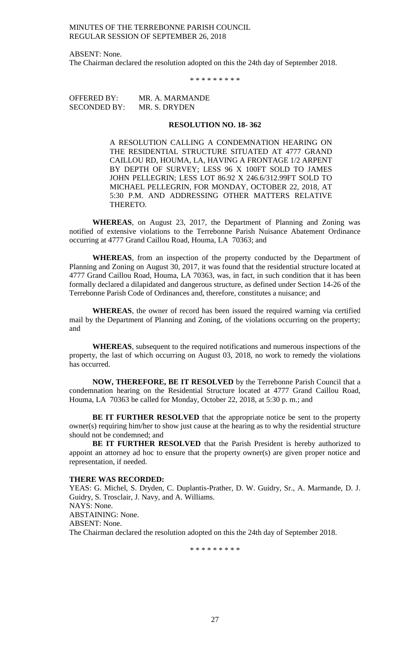ABSENT: None. The Chairman declared the resolution adopted on this the 24th day of September 2018.

\* \* \* \* \* \* \* \* \*

OFFERED BY: MR. A. MARMANDE SECONDED BY: MR. S. DRYDEN

#### **RESOLUTION NO. 18- 362**

A RESOLUTION CALLING A CONDEMNATION HEARING ON THE RESIDENTIAL STRUCTURE SITUATED AT 4777 GRAND CAILLOU RD, HOUMA, LA, HAVING A FRONTAGE 1/2 ARPENT BY DEPTH OF SURVEY; LESS 96 X 100FT SOLD TO JAMES JOHN PELLEGRIN; LESS LOT 86.92 X 246.6/312.99FT SOLD TO MICHAEL PELLEGRIN, FOR MONDAY, OCTOBER 22, 2018, AT 5:30 P.M. AND ADDRESSING OTHER MATTERS RELATIVE THERETO.

**WHEREAS**, on August 23, 2017, the Department of Planning and Zoning was notified of extensive violations to the Terrebonne Parish Nuisance Abatement Ordinance occurring at 4777 Grand Caillou Road, Houma, LA 70363; and

**WHEREAS**, from an inspection of the property conducted by the Department of Planning and Zoning on August 30, 2017, it was found that the residential structure located at 4777 Grand Caillou Road, Houma, LA 70363, was, in fact, in such condition that it has been formally declared a dilapidated and dangerous structure, as defined under Section 14-26 of the Terrebonne Parish Code of Ordinances and, therefore, constitutes a nuisance; and

**WHEREAS**, the owner of record has been issued the required warning via certified mail by the Department of Planning and Zoning, of the violations occurring on the property; and

**WHEREAS**, subsequent to the required notifications and numerous inspections of the property, the last of which occurring on August 03, 2018, no work to remedy the violations has occurred.

**NOW, THEREFORE, BE IT RESOLVED** by the Terrebonne Parish Council that a condemnation hearing on the Residential Structure located at 4777 Grand Caillou Road, Houma, LA 70363 be called for Monday, October 22, 2018, at 5:30 p. m.; and

**BE IT FURTHER RESOLVED** that the appropriate notice be sent to the property owner(s) requiring him/her to show just cause at the hearing as to why the residential structure should not be condemned; and

**BE IT FURTHER RESOLVED** that the Parish President is hereby authorized to appoint an attorney ad hoc to ensure that the property owner(s) are given proper notice and representation, if needed.

## **THERE WAS RECORDED:**

YEAS: G. Michel, S. Dryden, C. Duplantis-Prather, D. W. Guidry, Sr., A. Marmande, D. J. Guidry, S. Trosclair, J. Navy, and A. Williams. NAYS: None. ABSTAINING: None. ABSENT: None. The Chairman declared the resolution adopted on this the 24th day of September 2018.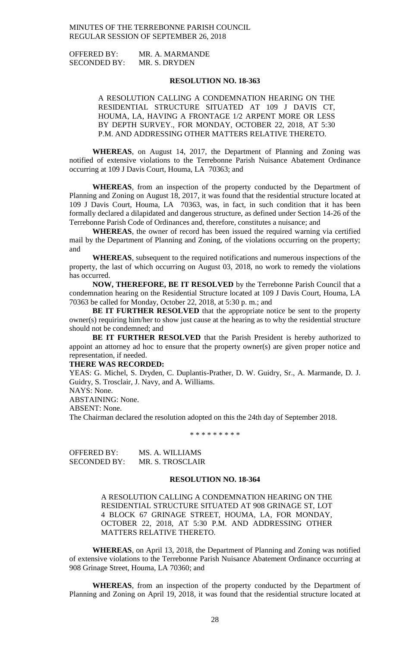OFFERED BY: MR. A. MARMANDE SECONDED BY: MR. S. DRYDEN

## **RESOLUTION NO. 18-363**

A RESOLUTION CALLING A CONDEMNATION HEARING ON THE RESIDENTIAL STRUCTURE SITUATED AT 109 J DAVIS CT, HOUMA, LA, HAVING A FRONTAGE 1/2 ARPENT MORE OR LESS BY DEPTH SURVEY., FOR MONDAY, OCTOBER 22, 2018, AT 5:30 P.M. AND ADDRESSING OTHER MATTERS RELATIVE THERETO.

**WHEREAS**, on August 14, 2017, the Department of Planning and Zoning was notified of extensive violations to the Terrebonne Parish Nuisance Abatement Ordinance occurring at 109 J Davis Court, Houma, LA 70363; and

**WHEREAS**, from an inspection of the property conducted by the Department of Planning and Zoning on August 18, 2017, it was found that the residential structure located at 109 J Davis Court, Houma, LA 70363, was, in fact, in such condition that it has been formally declared a dilapidated and dangerous structure, as defined under Section 14-26 of the Terrebonne Parish Code of Ordinances and, therefore, constitutes a nuisance; and

**WHEREAS**, the owner of record has been issued the required warning via certified mail by the Department of Planning and Zoning, of the violations occurring on the property; and

**WHEREAS**, subsequent to the required notifications and numerous inspections of the property, the last of which occurring on August 03, 2018, no work to remedy the violations has occurred.

**NOW, THEREFORE, BE IT RESOLVED** by the Terrebonne Parish Council that a condemnation hearing on the Residential Structure located at 109 J Davis Court, Houma, LA 70363 be called for Monday, October 22, 2018, at 5:30 p. m.; and

**BE IT FURTHER RESOLVED** that the appropriate notice be sent to the property owner(s) requiring him/her to show just cause at the hearing as to why the residential structure should not be condemned; and

**BE IT FURTHER RESOLVED** that the Parish President is hereby authorized to appoint an attorney ad hoc to ensure that the property owner(s) are given proper notice and representation, if needed.

#### **THERE WAS RECORDED:**

YEAS: G. Michel, S. Dryden, C. Duplantis-Prather, D. W. Guidry, Sr., A. Marmande, D. J. Guidry, S. Trosclair, J. Navy, and A. Williams.

NAYS: None.

ABSTAINING: None.

ABSENT: None.

The Chairman declared the resolution adopted on this the 24th day of September 2018.

\* \* \* \* \* \* \* \* \*

OFFERED BY: MS. A. WILLIAMS SECONDED BY: MR. S. TROSCLAIR

## **RESOLUTION NO. 18-364**

A RESOLUTION CALLING A CONDEMNATION HEARING ON THE RESIDENTIAL STRUCTURE SITUATED AT 908 GRINAGE ST, LOT 4 BLOCK 67 GRINAGE STREET, HOUMA, LA, FOR MONDAY, OCTOBER 22, 2018, AT 5:30 P.M. AND ADDRESSING OTHER MATTERS RELATIVE THERETO.

**WHEREAS**, on April 13, 2018, the Department of Planning and Zoning was notified of extensive violations to the Terrebonne Parish Nuisance Abatement Ordinance occurring at 908 Grinage Street, Houma, LA 70360; and

**WHEREAS**, from an inspection of the property conducted by the Department of Planning and Zoning on April 19, 2018, it was found that the residential structure located at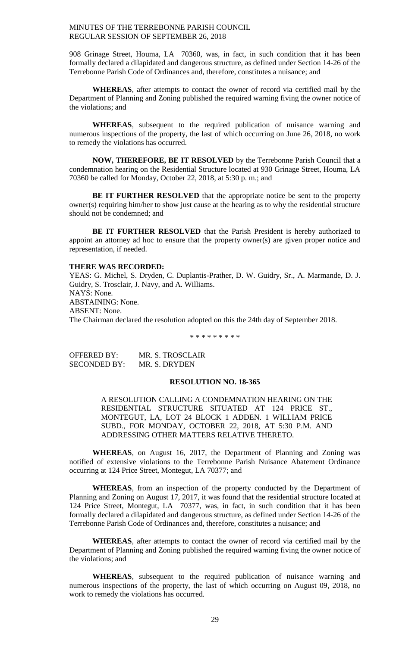908 Grinage Street, Houma, LA 70360, was, in fact, in such condition that it has been formally declared a dilapidated and dangerous structure, as defined under Section 14-26 of the Terrebonne Parish Code of Ordinances and, therefore, constitutes a nuisance; and

**WHEREAS**, after attempts to contact the owner of record via certified mail by the Department of Planning and Zoning published the required warning fiving the owner notice of the violations; and

**WHEREAS**, subsequent to the required publication of nuisance warning and numerous inspections of the property, the last of which occurring on June 26, 2018, no work to remedy the violations has occurred.

**NOW, THEREFORE, BE IT RESOLVED** by the Terrebonne Parish Council that a condemnation hearing on the Residential Structure located at 930 Grinage Street, Houma, LA 70360 be called for Monday, October 22, 2018, at 5:30 p. m.; and

**BE IT FURTHER RESOLVED** that the appropriate notice be sent to the property owner(s) requiring him/her to show just cause at the hearing as to why the residential structure should not be condemned; and

**BE IT FURTHER RESOLVED** that the Parish President is hereby authorized to appoint an attorney ad hoc to ensure that the property owner(s) are given proper notice and representation, if needed.

#### **THERE WAS RECORDED:**

YEAS: G. Michel, S. Dryden, C. Duplantis-Prather, D. W. Guidry, Sr., A. Marmande, D. J. Guidry, S. Trosclair, J. Navy, and A. Williams. NAYS: None. ABSTAINING: None. ABSENT: None. The Chairman declared the resolution adopted on this the 24th day of September 2018.

\* \* \* \* \* \* \* \* \*

| <b>OFFERED BY:</b>  | MR. S. TROSCLAIR |
|---------------------|------------------|
| <b>SECONDED BY:</b> | MR. S. DRYDEN    |

# **RESOLUTION NO. 18-365**

A RESOLUTION CALLING A CONDEMNATION HEARING ON THE RESIDENTIAL STRUCTURE SITUATED AT 124 PRICE ST., MONTEGUT, LA, LOT 24 BLOCK 1 ADDEN. 1 WILLIAM PRICE SUBD., FOR MONDAY, OCTOBER 22, 2018, AT 5:30 P.M. AND ADDRESSING OTHER MATTERS RELATIVE THERETO.

**WHEREAS**, on August 16, 2017, the Department of Planning and Zoning was notified of extensive violations to the Terrebonne Parish Nuisance Abatement Ordinance occurring at 124 Price Street, Montegut, LA 70377; and

**WHEREAS**, from an inspection of the property conducted by the Department of Planning and Zoning on August 17, 2017, it was found that the residential structure located at 124 Price Street, Montegut, LA 70377, was, in fact, in such condition that it has been formally declared a dilapidated and dangerous structure, as defined under Section 14-26 of the Terrebonne Parish Code of Ordinances and, therefore, constitutes a nuisance; and

**WHEREAS**, after attempts to contact the owner of record via certified mail by the Department of Planning and Zoning published the required warning fiving the owner notice of the violations; and

**WHEREAS**, subsequent to the required publication of nuisance warning and numerous inspections of the property, the last of which occurring on August 09, 2018, no work to remedy the violations has occurred.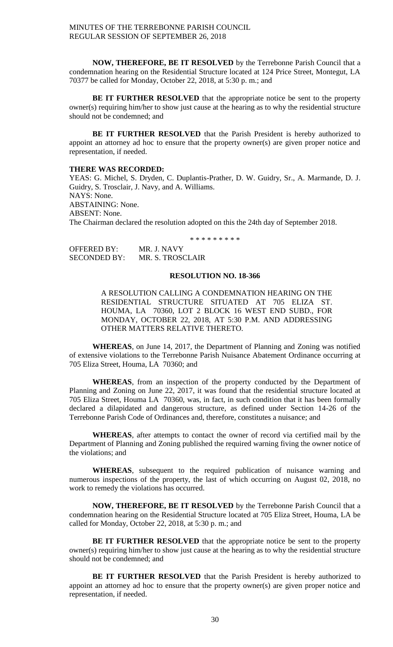**NOW, THEREFORE, BE IT RESOLVED** by the Terrebonne Parish Council that a condemnation hearing on the Residential Structure located at 124 Price Street, Montegut, LA 70377 be called for Monday, October 22, 2018, at 5:30 p. m.; and

**BE IT FURTHER RESOLVED** that the appropriate notice be sent to the property owner(s) requiring him/her to show just cause at the hearing as to why the residential structure should not be condemned; and

**BE IT FURTHER RESOLVED** that the Parish President is hereby authorized to appoint an attorney ad hoc to ensure that the property owner(s) are given proper notice and representation, if needed.

# **THERE WAS RECORDED:**

YEAS: G. Michel, S. Dryden, C. Duplantis-Prather, D. W. Guidry, Sr., A. Marmande, D. J. Guidry, S. Trosclair, J. Navy, and A. Williams. NAYS: None. ABSTAINING: None. ABSENT: None. The Chairman declared the resolution adopted on this the 24th day of September 2018.

\* \* \* \* \* \* \* \* \*

| <b>OFFERED BY:</b>  | MR. J. NAVY      |
|---------------------|------------------|
| <b>SECONDED BY:</b> | MR. S. TROSCLAIR |

#### **RESOLUTION NO. 18-366**

A RESOLUTION CALLING A CONDEMNATION HEARING ON THE RESIDENTIAL STRUCTURE SITUATED AT 705 ELIZA ST. HOUMA, LA 70360, LOT 2 BLOCK 16 WEST END SUBD., FOR MONDAY, OCTOBER 22, 2018, AT 5:30 P.M. AND ADDRESSING OTHER MATTERS RELATIVE THERETO.

**WHEREAS**, on June 14, 2017, the Department of Planning and Zoning was notified of extensive violations to the Terrebonne Parish Nuisance Abatement Ordinance occurring at 705 Eliza Street, Houma, LA 70360; and

**WHEREAS**, from an inspection of the property conducted by the Department of Planning and Zoning on June 22, 2017, it was found that the residential structure located at 705 Eliza Street, Houma LA 70360, was, in fact, in such condition that it has been formally declared a dilapidated and dangerous structure, as defined under Section 14-26 of the Terrebonne Parish Code of Ordinances and, therefore, constitutes a nuisance; and

**WHEREAS**, after attempts to contact the owner of record via certified mail by the Department of Planning and Zoning published the required warning fiving the owner notice of the violations; and

**WHEREAS**, subsequent to the required publication of nuisance warning and numerous inspections of the property, the last of which occurring on August 02, 2018, no work to remedy the violations has occurred.

**NOW, THEREFORE, BE IT RESOLVED** by the Terrebonne Parish Council that a condemnation hearing on the Residential Structure located at 705 Eliza Street, Houma, LA be called for Monday, October 22, 2018, at 5:30 p. m.; and

**BE IT FURTHER RESOLVED** that the appropriate notice be sent to the property owner(s) requiring him/her to show just cause at the hearing as to why the residential structure should not be condemned; and

**BE IT FURTHER RESOLVED** that the Parish President is hereby authorized to appoint an attorney ad hoc to ensure that the property owner(s) are given proper notice and representation, if needed.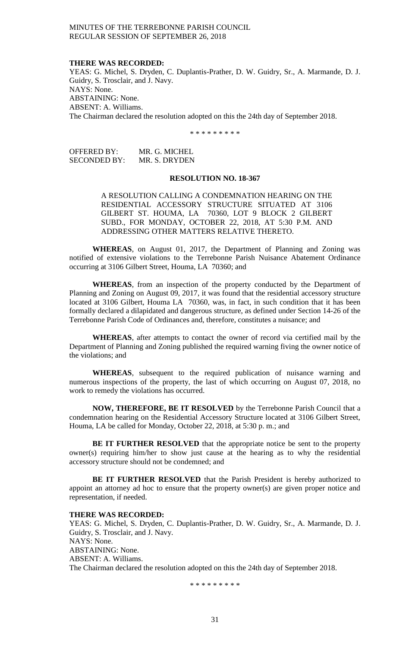#### **THERE WAS RECORDED:**

YEAS: G. Michel, S. Dryden, C. Duplantis-Prather, D. W. Guidry, Sr., A. Marmande, D. J. Guidry, S. Trosclair, and J. Navy. NAYS: None. ABSTAINING: None. ABSENT: A. Williams. The Chairman declared the resolution adopted on this the 24th day of September 2018.

\* \* \* \* \* \* \* \* \*

| OFFERED BY:  | MR. G. MICHEL |
|--------------|---------------|
| SECONDED BY: | MR. S. DRYDEN |

#### **RESOLUTION NO. 18-367**

A RESOLUTION CALLING A CONDEMNATION HEARING ON THE RESIDENTIAL ACCESSORY STRUCTURE SITUATED AT 3106 GILBERT ST. HOUMA, LA 70360, LOT 9 BLOCK 2 GILBERT SUBD., FOR MONDAY, OCTOBER 22, 2018, AT 5:30 P.M. AND ADDRESSING OTHER MATTERS RELATIVE THERETO.

**WHEREAS**, on August 01, 2017, the Department of Planning and Zoning was notified of extensive violations to the Terrebonne Parish Nuisance Abatement Ordinance occurring at 3106 Gilbert Street, Houma, LA 70360; and

**WHEREAS**, from an inspection of the property conducted by the Department of Planning and Zoning on August 09, 2017, it was found that the residential accessory structure located at 3106 Gilbert, Houma LA 70360, was, in fact, in such condition that it has been formally declared a dilapidated and dangerous structure, as defined under Section 14-26 of the Terrebonne Parish Code of Ordinances and, therefore, constitutes a nuisance; and

**WHEREAS**, after attempts to contact the owner of record via certified mail by the Department of Planning and Zoning published the required warning fiving the owner notice of the violations; and

**WHEREAS**, subsequent to the required publication of nuisance warning and numerous inspections of the property, the last of which occurring on August 07, 2018, no work to remedy the violations has occurred.

**NOW, THEREFORE, BE IT RESOLVED** by the Terrebonne Parish Council that a condemnation hearing on the Residential Accessory Structure located at 3106 Gilbert Street, Houma, LA be called for Monday, October 22, 2018, at 5:30 p. m.; and

**BE IT FURTHER RESOLVED** that the appropriate notice be sent to the property owner(s) requiring him/her to show just cause at the hearing as to why the residential accessory structure should not be condemned; and

**BE IT FURTHER RESOLVED** that the Parish President is hereby authorized to appoint an attorney ad hoc to ensure that the property owner(s) are given proper notice and representation, if needed.

#### **THERE WAS RECORDED:**

YEAS: G. Michel, S. Dryden, C. Duplantis-Prather, D. W. Guidry, Sr., A. Marmande, D. J. Guidry, S. Trosclair, and J. Navy. NAYS: None. ABSTAINING: None. ABSENT: A. Williams. The Chairman declared the resolution adopted on this the 24th day of September 2018.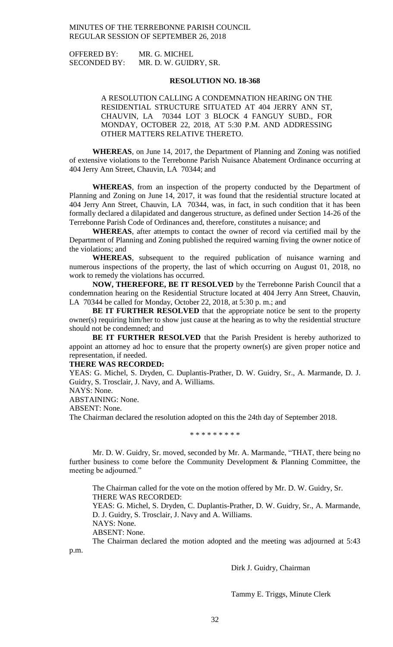| <b>OFFERED BY:</b>  | MR. G. MICHEL         |
|---------------------|-----------------------|
| <b>SECONDED BY:</b> | MR. D. W. GUIDRY, SR. |

## **RESOLUTION NO. 18-368**

A RESOLUTION CALLING A CONDEMNATION HEARING ON THE RESIDENTIAL STRUCTURE SITUATED AT 404 JERRY ANN ST, CHAUVIN, LA 70344 LOT 3 BLOCK 4 FANGUY SUBD., FOR MONDAY, OCTOBER 22, 2018, AT 5:30 P.M. AND ADDRESSING OTHER MATTERS RELATIVE THERETO.

**WHEREAS**, on June 14, 2017, the Department of Planning and Zoning was notified of extensive violations to the Terrebonne Parish Nuisance Abatement Ordinance occurring at 404 Jerry Ann Street, Chauvin, LA 70344; and

**WHEREAS**, from an inspection of the property conducted by the Department of Planning and Zoning on June 14, 2017, it was found that the residential structure located at 404 Jerry Ann Street, Chauvin, LA 70344, was, in fact, in such condition that it has been formally declared a dilapidated and dangerous structure, as defined under Section 14-26 of the Terrebonne Parish Code of Ordinances and, therefore, constitutes a nuisance; and

**WHEREAS**, after attempts to contact the owner of record via certified mail by the Department of Planning and Zoning published the required warning fiving the owner notice of the violations; and

**WHEREAS**, subsequent to the required publication of nuisance warning and numerous inspections of the property, the last of which occurring on August 01, 2018, no work to remedy the violations has occurred.

**NOW, THEREFORE, BE IT RESOLVED** by the Terrebonne Parish Council that a condemnation hearing on the Residential Structure located at 404 Jerry Ann Street, Chauvin, LA 70344 be called for Monday, October 22, 2018, at 5:30 p. m.; and

**BE IT FURTHER RESOLVED** that the appropriate notice be sent to the property owner(s) requiring him/her to show just cause at the hearing as to why the residential structure should not be condemned; and

**BE IT FURTHER RESOLVED** that the Parish President is hereby authorized to appoint an attorney ad hoc to ensure that the property owner(s) are given proper notice and representation, if needed.

## **THERE WAS RECORDED:**

YEAS: G. Michel, S. Dryden, C. Duplantis-Prather, D. W. Guidry, Sr., A. Marmande, D. J. Guidry, S. Trosclair, J. Navy, and A. Williams.

NAYS: None.

ABSTAINING: None.

ABSENT: None.

The Chairman declared the resolution adopted on this the 24th day of September 2018.

\* \* \* \* \* \* \* \* \*

Mr. D. W. Guidry, Sr. moved, seconded by Mr. A. Marmande, "THAT, there being no further business to come before the Community Development & Planning Committee, the meeting be adjourned."

The Chairman called for the vote on the motion offered by Mr. D. W. Guidry, Sr. THERE WAS RECORDED:

YEAS: G. Michel, S. Dryden, C. Duplantis-Prather, D. W. Guidry, Sr., A. Marmande, D. J. Guidry, S. Trosclair, J. Navy and A. Williams.

NAYS: None.

ABSENT: None.

The Chairman declared the motion adopted and the meeting was adjourned at 5:43 p.m.

Dirk J. Guidry, Chairman

Tammy E. Triggs, Minute Clerk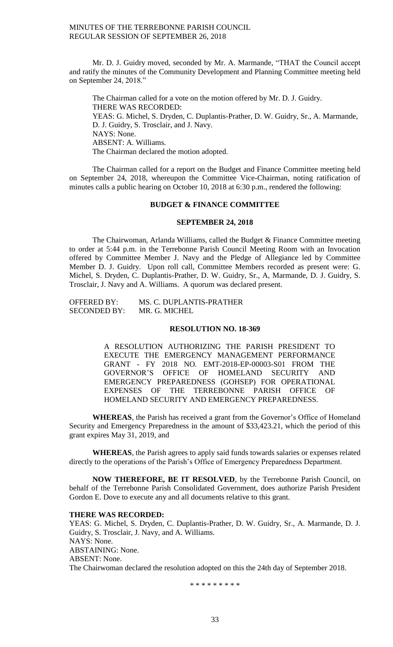Mr. D. J. Guidry moved, seconded by Mr. A. Marmande, "THAT the Council accept and ratify the minutes of the Community Development and Planning Committee meeting held on September 24, 2018."

The Chairman called for a vote on the motion offered by Mr. D. J. Guidry. THERE WAS RECORDED: YEAS: G. Michel, S. Dryden, C. Duplantis-Prather, D. W. Guidry, Sr., A. Marmande, D. J. Guidry, S. Trosclair, and J. Navy. NAYS: None. ABSENT: A. Williams. The Chairman declared the motion adopted.

The Chairman called for a report on the Budget and Finance Committee meeting held on September 24, 2018, whereupon the Committee Vice-Chairman, noting ratification of minutes calls a public hearing on October 10, 2018 at 6:30 p.m., rendered the following:

## **BUDGET & FINANCE COMMITTEE**

## **SEPTEMBER 24, 2018**

The Chairwoman, Arlanda Williams, called the Budget & Finance Committee meeting to order at 5:44 p.m. in the Terrebonne Parish Council Meeting Room with an Invocation offered by Committee Member J. Navy and the Pledge of Allegiance led by Committee Member D. J. Guidry. Upon roll call, Committee Members recorded as present were: G. Michel, S. Dryden, C. Duplantis-Prather, D. W. Guidry, Sr., A, Marmande, D. J. Guidry, S. Trosclair, J. Navy and A. Williams. A quorum was declared present.

| <b>OFFERED BY:</b>  | MS. C. DUPLANTIS-PRATHER |
|---------------------|--------------------------|
| <b>SECONDED BY:</b> | MR. G. MICHEL            |

#### **RESOLUTION NO. 18-369**

A RESOLUTION AUTHORIZING THE PARISH PRESIDENT TO EXECUTE THE EMERGENCY MANAGEMENT PERFORMANCE GRANT - FY 2018 NO. EMT-2018-EP-00003-S01 FROM THE GOVERNOR'S OFFICE OF HOMELAND SECURITY AND EMERGENCY PREPAREDNESS (GOHSEP) FOR OPERATIONAL EXPENSES OF THE TERREBONNE PARISH OFFICE OF HOMELAND SECURITY AND EMERGENCY PREPAREDNESS.

**WHEREAS**, the Parish has received a grant from the Governor's Office of Homeland Security and Emergency Preparedness in the amount of \$33,423.21, which the period of this grant expires May 31, 2019, and

**WHEREAS**, the Parish agrees to apply said funds towards salaries or expenses related directly to the operations of the Parish's Office of Emergency Preparedness Department.

**NOW THEREFORE, BE IT RESOLVED**, by the Terrebonne Parish Council, on behalf of the Terrebonne Parish Consolidated Government, does authorize Parish President Gordon E. Dove to execute any and all documents relative to this grant.

#### **THERE WAS RECORDED:**

YEAS: G. Michel, S. Dryden, C. Duplantis-Prather, D. W. Guidry, Sr., A. Marmande, D. J. Guidry, S. Trosclair, J. Navy, and A. Williams. NAYS: None. ABSTAINING: None. ABSENT: None. The Chairwoman declared the resolution adopted on this the 24th day of September 2018.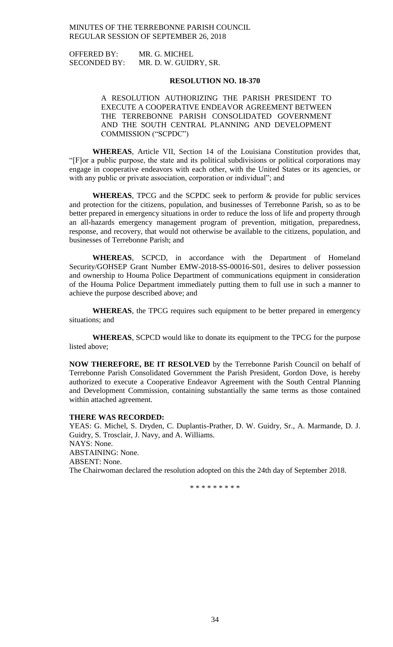OFFERED BY: MR. G. MICHEL SECONDED BY: MR. D. W. GUIDRY, SR.

## **RESOLUTION NO. 18-370**

A RESOLUTION AUTHORIZING THE PARISH PRESIDENT TO EXECUTE A COOPERATIVE ENDEAVOR AGREEMENT BETWEEN THE TERREBONNE PARISH CONSOLIDATED GOVERNMENT AND THE SOUTH CENTRAL PLANNING AND DEVELOPMENT COMMISSION ("SCPDC")

**WHEREAS**, Article VII, Section 14 of the Louisiana Constitution provides that, "[F]or a public purpose, the state and its political subdivisions or political corporations may engage in cooperative endeavors with each other, with the United States or its agencies, or with any public or private association, corporation or individual"; and

**WHEREAS**, TPCG and the SCPDC seek to perform & provide for public services and protection for the citizens, population, and businesses of Terrebonne Parish, so as to be better prepared in emergency situations in order to reduce the loss of life and property through an all-hazards emergency management program of prevention, mitigation, preparedness, response, and recovery, that would not otherwise be available to the citizens, population, and businesses of Terrebonne Parish; and

**WHEREAS**, SCPCD, in accordance with the Department of Homeland Security/GOHSEP Grant Number EMW-2018-SS-00016-S01, desires to deliver possession and ownership to Houma Police Department of communications equipment in consideration of the Houma Police Department immediately putting them to full use in such a manner to achieve the purpose described above; and

**WHEREAS**, the TPCG requires such equipment to be better prepared in emergency situations; and

**WHEREAS**, SCPCD would like to donate its equipment to the TPCG for the purpose listed above;

**NOW THEREFORE, BE IT RESOLVED** by the Terrebonne Parish Council on behalf of Terrebonne Parish Consolidated Government the Parish President, Gordon Dove, is hereby authorized to execute a Cooperative Endeavor Agreement with the South Central Planning and Development Commission, containing substantially the same terms as those contained within attached agreement.

#### **THERE WAS RECORDED:**

YEAS: G. Michel, S. Dryden, C. Duplantis-Prather, D. W. Guidry, Sr., A. Marmande, D. J. Guidry, S. Trosclair, J. Navy, and A. Williams. NAYS: None. ABSTAINING: None. ABSENT: None. The Chairwoman declared the resolution adopted on this the 24th day of September 2018.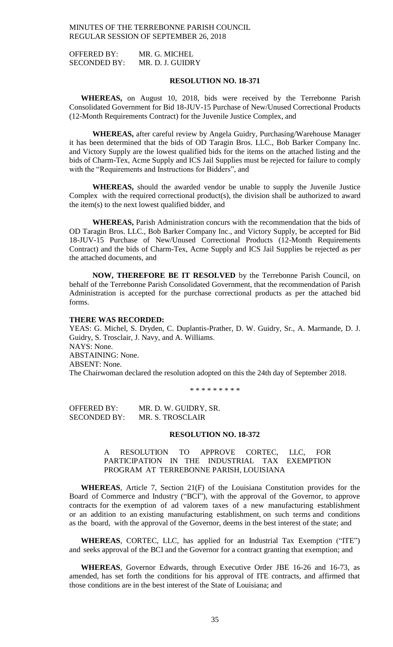OFFERED BY: MR. G. MICHEL SECONDED BY: MR. D. J. GUIDRY

## **RESOLUTION NO. 18-371**

**WHEREAS,** on August 10, 2018, bids were received by the Terrebonne Parish Consolidated Government for Bid 18-JUV-15 Purchase of New/Unused Correctional Products (12-Month Requirements Contract) for the Juvenile Justice Complex, and

**WHEREAS,** after careful review by Angela Guidry, Purchasing/Warehouse Manager it has been determined that the bids of OD Taragin Bros. LLC., Bob Barker Company Inc. and Victory Supply are the lowest qualified bids for the items on the attached listing and the bids of Charm-Tex, Acme Supply and ICS Jail Supplies must be rejected for failure to comply with the "Requirements and Instructions for Bidders", and

**WHEREAS,** should the awarded vendor be unable to supply the Juvenile Justice Complex with the required correctional product(s), the division shall be authorized to award the item(s) to the next lowest qualified bidder, and

**WHEREAS,** Parish Administration concurs with the recommendation that the bids of OD Taragin Bros. LLC., Bob Barker Company Inc., and Victory Supply, be accepted for Bid 18-JUV-15 Purchase of New/Unused Correctional Products (12-Month Requirements Contract) and the bids of Charm-Tex, Acme Supply and ICS Jail Supplies be rejected as per the attached documents, and

**NOW, THEREFORE BE IT RESOLVED** by the Terrebonne Parish Council, on behalf of the Terrebonne Parish Consolidated Government, that the recommendation of Parish Administration is accepted for the purchase correctional products as per the attached bid forms.

#### **THERE WAS RECORDED:**

YEAS: G. Michel, S. Dryden, C. Duplantis-Prather, D. W. Guidry, Sr., A. Marmande, D. J. Guidry, S. Trosclair, J. Navy, and A. Williams. NAYS: None. ABSTAINING: None. ABSENT: None. The Chairwoman declared the resolution adopted on this the 24th day of September 2018.

\* \* \* \* \* \* \* \* \*

OFFERED BY: MR. D. W. GUIDRY, SR. SECONDED BY: MR. S. TROSCLAIR

# **RESOLUTION NO. 18-372**

A RESOLUTION TO APPROVE CORTEC, LLC, FOR PARTICIPATION IN THE INDUSTRIAL TAX EXEMPTION PROGRAM AT TERREBONNE PARISH, LOUISIANA

**WHEREAS**, Article 7, Section 21(F) of the Louisiana Constitution provides for the Board of Commerce and Industry ("BCI"), with the approval of the Governor, to approve contracts for the exemption of ad valorem taxes of a new manufacturing establishment or an addition to an existing manufacturing establishment, on such terms and conditions as the board, with the approval of the Governor, deems in the best interest of the state; and

**WHEREAS**, CORTEC, LLC, has applied for an Industrial Tax Exemption ("ITE") and seeks approval of the BCI and the Governor for a contract granting that exemption; and

**WHEREAS**, Governor Edwards, through Executive Order JBE 16-26 and 16-73, as amended, has set forth the conditions for his approval of ITE contracts, and affirmed that those conditions are in the best interest of the State of Louisiana; and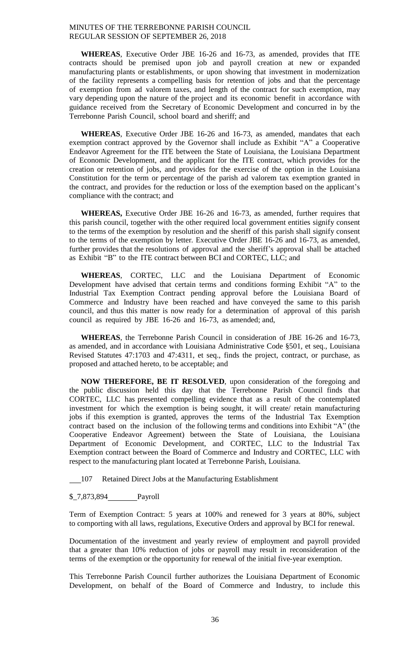**WHEREAS**, Executive Order JBE 16-26 and 16-73, as amended, provides that ITE contracts should be premised upon job and payroll creation at new or expanded manufacturing plants or establishments, or upon showing that investment in modernization of the facility represents a compelling basis for retention of jobs and that the percentage of exemption from ad valorem taxes, and length of the contract for such exemption, may vary depending upon the nature of the project and its economic benefit in accordance with guidance received from the Secretary of Economic Development and concurred in by the Terrebonne Parish Council, school board and sheriff; and

**WHEREAS**, Executive Order JBE 16-26 and 16-73, as amended, mandates that each exemption contract approved by the Governor shall include as Exhibit "A" a Cooperative Endeavor Agreement for the ITE between the State of Louisiana, the Louisiana Department of Economic Development, and the applicant for the ITE contract, which provides for the creation or retention of jobs, and provides for the exercise of the option in the Louisiana Constitution for the term or percentage of the parish ad valorem tax exemption granted in the contract, and provides for the reduction or loss of the exemption based on the applicant's compliance with the contract; and

**WHEREAS,** Executive Order JBE 16-26 and 16-73, as amended, further requires that this parish council, together with the other required local government entities signify consent to the terms of the exemption by resolution and the sheriff of this parish shall signify consent to the terms of the exemption by letter. Executive Order JBE 16-26 and 16-73, as amended, further provides that the resolutions of approval and the sheriff's approval shall be attached as Exhibit "B" to the ITE contract between BCI and CORTEC, LLC; and

**WHEREAS**, CORTEC, LLC and the Louisiana Department of Economic Development have advised that certain terms and conditions forming Exhibit "A" to the Industrial Tax Exemption Contract pending approval before the Louisiana Board of Commerce and Industry have been reached and have conveyed the same to this parish council, and thus this matter is now ready for a determination of approval of this parish council as required by JBE 16-26 and 16-73, as amended; and,

**WHEREAS**, the Terrebonne Parish Council in consideration of JBE 16-26 and 16-73, as amended, and in accordance with Louisiana Administrative Code §501, et seq., Louisiana Revised Statutes 47:1703 and 47:4311, et seq., finds the project, contract, or purchase, as proposed and attached hereto, to be acceptable; and

**NOW THEREFORE, BE IT RESOLVED**, upon consideration of the foregoing and the public discussion held this day that the Terrebonne Parish Council finds that CORTEC, LLC has presented compelling evidence that as a result of the contemplated investment for which the exemption is being sought, it will create/ retain manufacturing jobs if this exemption is granted, approves the terms of the Industrial Tax Exemption contract based on the inclusion of the following terms and conditions into Exhibit "A" (the Cooperative Endeavor Agreement) between the State of Louisiana, the Louisiana Department of Economic Development, and CORTEC, LLC to the Industrial Tax Exemption contract between the Board of Commerce and Industry and CORTEC, LLC with respect to the manufacturing plant located at Terrebonne Parish, Louisiana.

107 Retained Direct Jobs at the Manufacturing Establishment

\$\_7,873,894 Payroll

Term of Exemption Contract: 5 years at 100% and renewed for 3 years at 80%, subject to comporting with all laws, regulations, Executive Orders and approval by BCI for renewal.

Documentation of the investment and yearly review of employment and payroll provided that a greater than 10% reduction of jobs or payroll may result in reconsideration of the terms of the exemption or the opportunity for renewal of the initial five-year exemption.

This Terrebonne Parish Council further authorizes the Louisiana Department of Economic Development, on behalf of the Board of Commerce and Industry, to include this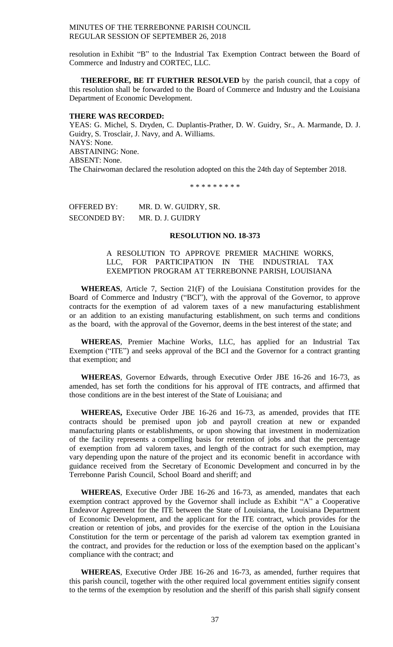resolution in Exhibit "B" to the Industrial Tax Exemption Contract between the Board of Commerce and Industry and CORTEC, LLC.

**THEREFORE, BE IT FURTHER RESOLVED** by the parish council, that a copy of this resolution shall be forwarded to the Board of Commerce and Industry and the Louisiana Department of Economic Development.

#### **THERE WAS RECORDED:**

YEAS: G. Michel, S. Dryden, C. Duplantis-Prather, D. W. Guidry, Sr., A. Marmande, D. J. Guidry, S. Trosclair, J. Navy, and A. Williams. NAYS: None. ABSTAINING: None. ABSENT: None. The Chairwoman declared the resolution adopted on this the 24th day of September 2018.

\* \* \* \* \* \* \* \* \*

OFFERED BY: MR. D. W. GUIDRY, SR. SECONDED BY: MR. D. J. GUIDRY

## **RESOLUTION NO. 18-373**

# A RESOLUTION TO APPROVE PREMIER MACHINE WORKS, LLC, FOR PARTICIPATION IN THE INDUSTRIAL TAX EXEMPTION PROGRAM AT TERREBONNE PARISH, LOUISIANA

**WHEREAS**, Article 7, Section 21(F) of the Louisiana Constitution provides for the Board of Commerce and Industry ("BCI"), with the approval of the Governor, to approve contracts for the exemption of ad valorem taxes of a new manufacturing establishment or an addition to an existing manufacturing establishment, on such terms and conditions as the board, with the approval of the Governor, deems in the best interest of the state; and

**WHEREAS**, Premier Machine Works, LLC, has applied for an Industrial Tax Exemption ("ITE") and seeks approval of the BCI and the Governor for a contract granting that exemption; and

**WHEREAS**, Governor Edwards, through Executive Order JBE 16-26 and 16-73, as amended, has set forth the conditions for his approval of ITE contracts, and affirmed that those conditions are in the best interest of the State of Louisiana; and

**WHEREAS,** Executive Order JBE 16-26 and 16-73, as amended, provides that ITE contracts should be premised upon job and payroll creation at new or expanded manufacturing plants or establishments, or upon showing that investment in modernization of the facility represents a compelling basis for retention of jobs and that the percentage of exemption from ad valorem taxes, and length of the contract for such exemption, may vary depending upon the nature of the project and its economic benefit in accordance with guidance received from the Secretary of Economic Development and concurred in by the Terrebonne Parish Council, School Board and sheriff; and

**WHEREAS**, Executive Order JBE 16-26 and 16-73, as amended, mandates that each exemption contract approved by the Governor shall include as Exhibit "A" a Cooperative Endeavor Agreement for the ITE between the State of Louisiana, the Louisiana Department of Economic Development, and the applicant for the ITE contract, which provides for the creation or retention of jobs, and provides for the exercise of the option in the Louisiana Constitution for the term or percentage of the parish ad valorem tax exemption granted in the contract, and provides for the reduction or loss of the exemption based on the applicant's compliance with the contract; and

**WHEREAS**, Executive Order JBE 16-26 and 16-73, as amended, further requires that this parish council, together with the other required local government entities signify consent to the terms of the exemption by resolution and the sheriff of this parish shall signify consent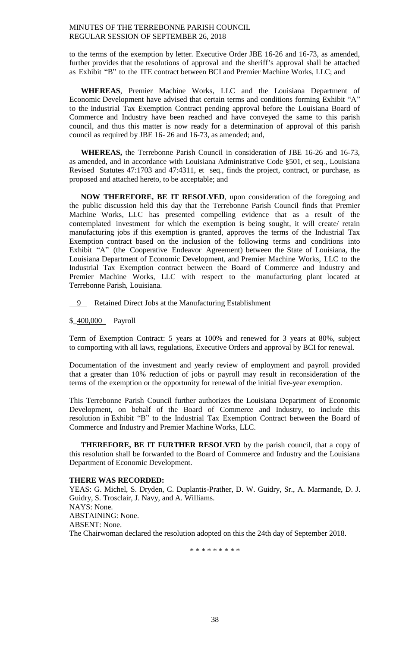to the terms of the exemption by letter. Executive Order JBE 16-26 and 16-73, as amended, further provides that the resolutions of approval and the sheriff's approval shall be attached as Exhibit "B" to the ITE contract between BCI and Premier Machine Works, LLC; and

**WHEREAS**, Premier Machine Works, LLC and the Louisiana Department of Economic Development have advised that certain terms and conditions forming Exhibit "A" to the Industrial Tax Exemption Contract pending approval before the Louisiana Board of Commerce and Industry have been reached and have conveyed the same to this parish council, and thus this matter is now ready for a determination of approval of this parish council as required by JBE 16- 26 and 16-73, as amended; and,

**WHEREAS,** the Terrebonne Parish Council in consideration of JBE 16-26 and 16-73, as amended, and in accordance with Louisiana Administrative Code §501, et seq., Louisiana Revised Statutes 47:1703 and 47:4311, et seq., finds the project, contract, or purchase, as proposed and attached hereto, to be acceptable; and

**NOW THEREFORE, BE IT RESOLVED**, upon consideration of the foregoing and the public discussion held this day that the Terrebonne Parish Council finds that Premier Machine Works, LLC has presented compelling evidence that as a result of the contemplated investment for which the exemption is being sought, it will create/ retain manufacturing jobs if this exemption is granted, approves the terms of the Industrial Tax Exemption contract based on the inclusion of the following terms and conditions into Exhibit "A" (the Cooperative Endeavor Agreement) between the State of Louisiana, the Louisiana Department of Economic Development, and Premier Machine Works, LLC to the Industrial Tax Exemption contract between the Board of Commerce and Industry and Premier Machine Works, LLC with respect to the manufacturing plant located at Terrebonne Parish, Louisiana.

9 Retained Direct Jobs at the Manufacturing Establishment

## \$\_400,000 Payroll

Term of Exemption Contract: 5 years at 100% and renewed for 3 years at 80%, subject to comporting with all laws, regulations, Executive Orders and approval by BCI for renewal.

Documentation of the investment and yearly review of employment and payroll provided that a greater than 10% reduction of jobs or payroll may result in reconsideration of the terms of the exemption or the opportunity for renewal of the initial five-year exemption.

This Terrebonne Parish Council further authorizes the Louisiana Department of Economic Development, on behalf of the Board of Commerce and Industry, to include this resolution in Exhibit "B" to the Industrial Tax Exemption Contract between the Board of Commerce and Industry and Premier Machine Works, LLC.

**THEREFORE, BE IT FURTHER RESOLVED** by the parish council, that a copy of this resolution shall be forwarded to the Board of Commerce and Industry and the Louisiana Department of Economic Development.

## **THERE WAS RECORDED:**

YEAS: G. Michel, S. Dryden, C. Duplantis-Prather, D. W. Guidry, Sr., A. Marmande, D. J. Guidry, S. Trosclair, J. Navy, and A. Williams. NAYS: None. ABSTAINING: None. ABSENT: None. The Chairwoman declared the resolution adopted on this the 24th day of September 2018.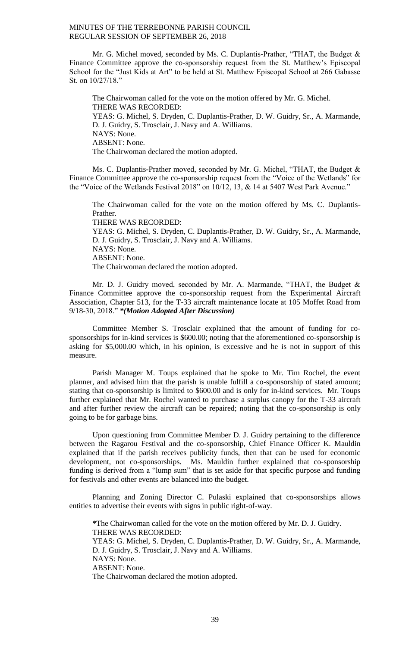Mr. G. Michel moved, seconded by Ms. C. Duplantis-Prather, "THAT, the Budget & Finance Committee approve the co-sponsorship request from the St. Matthew's Episcopal School for the "Just Kids at Art" to be held at St. Matthew Episcopal School at 266 Gabasse St. on 10/27/18."

The Chairwoman called for the vote on the motion offered by Mr. G. Michel. THERE WAS RECORDED: YEAS: G. Michel, S. Dryden, C. Duplantis-Prather, D. W. Guidry, Sr., A. Marmande, D. J. Guidry, S. Trosclair, J. Navy and A. Williams. NAYS: None. ABSENT: None. The Chairwoman declared the motion adopted.

Ms. C. Duplantis-Prather moved, seconded by Mr. G. Michel, "THAT, the Budget & Finance Committee approve the co-sponsorship request from the "Voice of the Wetlands" for the "Voice of the Wetlands Festival 2018" on 10/12, 13, & 14 at 5407 West Park Avenue."

The Chairwoman called for the vote on the motion offered by Ms. C. Duplantis-Prather. THERE WAS RECORDED: YEAS: G. Michel, S. Dryden, C. Duplantis-Prather, D. W. Guidry, Sr., A. Marmande, D. J. Guidry, S. Trosclair, J. Navy and A. Williams. NAYS: None. ABSENT: None. The Chairwoman declared the motion adopted.

Mr. D. J. Guidry moved, seconded by Mr. A. Marmande, "THAT, the Budget & Finance Committee approve the co-sponsorship request from the Experimental Aircraft Association, Chapter 513, for the T-33 aircraft maintenance locate at 105 Moffet Road from 9/18-30, 2018." *\*(Motion Adopted After Discussion)*

Committee Member S. Trosclair explained that the amount of funding for cosponsorships for in-kind services is \$600.00; noting that the aforementioned co-sponsorship is asking for \$5,000.00 which, in his opinion, is excessive and he is not in support of this measure.

Parish Manager M. Toups explained that he spoke to Mr. Tim Rochel, the event planner, and advised him that the parish is unable fulfill a co-sponsorship of stated amount; stating that co-sponsorship is limited to \$600.00 and is only for in-kind services. Mr. Toups further explained that Mr. Rochel wanted to purchase a surplus canopy for the T-33 aircraft and after further review the aircraft can be repaired; noting that the co-sponsorship is only going to be for garbage bins.

Upon questioning from Committee Member D. J. Guidry pertaining to the difference between the Ragarou Festival and the co-sponsorship, Chief Finance Officer K. Mauldin explained that if the parish receives publicity funds, then that can be used for economic development, not co-sponsorships. Ms. Mauldin further explained that co-sponsorship funding is derived from a "lump sum" that is set aside for that specific purpose and funding for festivals and other events are balanced into the budget.

Planning and Zoning Director C. Pulaski explained that co-sponsorships allows entities to advertise their events with signs in public right-of-way.

**\***The Chairwoman called for the vote on the motion offered by Mr. D. J. Guidry. THERE WAS RECORDED: YEAS: G. Michel, S. Dryden, C. Duplantis-Prather, D. W. Guidry, Sr., A. Marmande, D. J. Guidry, S. Trosclair, J. Navy and A. Williams. NAYS: None. ABSENT: None. The Chairwoman declared the motion adopted.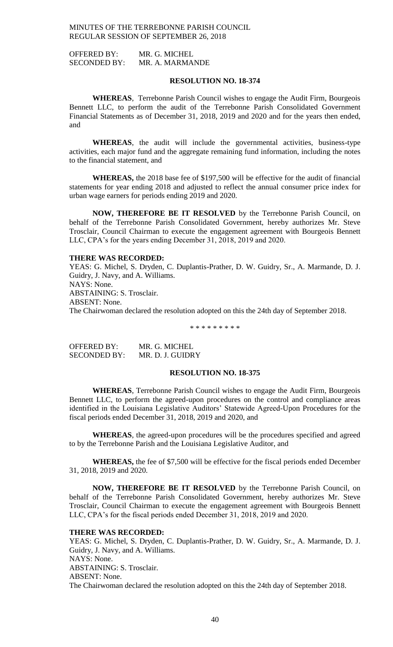OFFERED BY: MR. G. MICHEL SECONDED BY: MR. A. MARMANDE

## **RESOLUTION NO. 18-374**

**WHEREAS**, Terrebonne Parish Council wishes to engage the Audit Firm, Bourgeois Bennett LLC, to perform the audit of the Terrebonne Parish Consolidated Government Financial Statements as of December 31, 2018, 2019 and 2020 and for the years then ended, and

**WHEREAS**, the audit will include the governmental activities, business-type activities, each major fund and the aggregate remaining fund information, including the notes to the financial statement, and

**WHEREAS,** the 2018 base fee of \$197,500 will be effective for the audit of financial statements for year ending 2018 and adjusted to reflect the annual consumer price index for urban wage earners for periods ending 2019 and 2020.

**NOW, THEREFORE BE IT RESOLVED** by the Terrebonne Parish Council, on behalf of the Terrebonne Parish Consolidated Government, hereby authorizes Mr. Steve Trosclair, Council Chairman to execute the engagement agreement with Bourgeois Bennett LLC, CPA's for the years ending December 31, 2018, 2019 and 2020.

## **THERE WAS RECORDED:**

YEAS: G. Michel, S. Dryden, C. Duplantis-Prather, D. W. Guidry, Sr., A. Marmande, D. J. Guidry, J. Navy, and A. Williams. NAYS: None. ABSTAINING: S. Trosclair. ABSENT: None. The Chairwoman declared the resolution adopted on this the 24th day of September 2018.

\* \* \* \* \* \* \* \* \*

OFFERED BY: MR. G. MICHEL SECONDED BY: MR. D. J. GUIDRY

#### **RESOLUTION NO. 18-375**

**WHEREAS**, Terrebonne Parish Council wishes to engage the Audit Firm, Bourgeois Bennett LLC, to perform the agreed-upon procedures on the control and compliance areas identified in the Louisiana Legislative Auditors' Statewide Agreed-Upon Procedures for the fiscal periods ended December 31, 2018, 2019 and 2020, and

**WHEREAS**, the agreed-upon procedures will be the procedures specified and agreed to by the Terrebonne Parish and the Louisiana Legislative Auditor, and

**WHEREAS,** the fee of \$7,500 will be effective for the fiscal periods ended December 31, 2018, 2019 and 2020.

**NOW, THEREFORE BE IT RESOLVED** by the Terrebonne Parish Council, on behalf of the Terrebonne Parish Consolidated Government, hereby authorizes Mr. Steve Trosclair, Council Chairman to execute the engagement agreement with Bourgeois Bennett LLC, CPA's for the fiscal periods ended December 31, 2018, 2019 and 2020.

#### **THERE WAS RECORDED:**

YEAS: G. Michel, S. Dryden, C. Duplantis-Prather, D. W. Guidry, Sr., A. Marmande, D. J. Guidry, J. Navy, and A. Williams. NAYS: None. ABSTAINING: S. Trosclair. ABSENT: None. The Chairwoman declared the resolution adopted on this the 24th day of September 2018.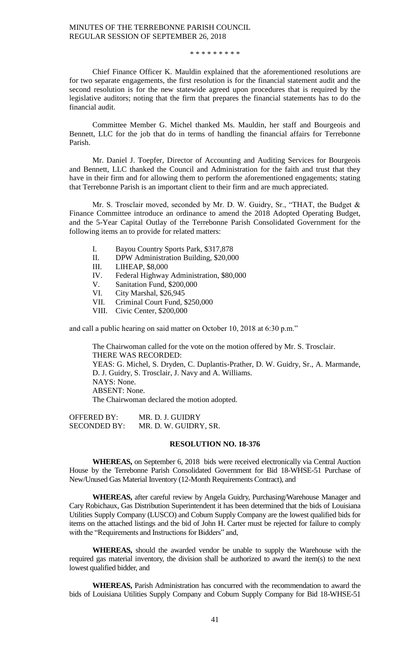#### \* \* \* \* \* \* \* \* \*

Chief Finance Officer K. Mauldin explained that the aforementioned resolutions are for two separate engagements, the first resolution is for the financial statement audit and the second resolution is for the new statewide agreed upon procedures that is required by the legislative auditors; noting that the firm that prepares the financial statements has to do the financial audit.

Committee Member G. Michel thanked Ms. Mauldin, her staff and Bourgeois and Bennett, LLC for the job that do in terms of handling the financial affairs for Terrebonne Parish.

Mr. Daniel J. Toepfer, Director of Accounting and Auditing Services for Bourgeois and Bennett, LLC thanked the Council and Administration for the faith and trust that they have in their firm and for allowing them to perform the aforementioned engagements; stating that Terrebonne Parish is an important client to their firm and are much appreciated.

Mr. S. Trosclair moved, seconded by Mr. D. W. Guidry, Sr., "THAT, the Budget & Finance Committee introduce an ordinance to amend the 2018 Adopted Operating Budget, and the 5-Year Capital Outlay of the Terrebonne Parish Consolidated Government for the following items an to provide for related matters:

- I. Bayou Country Sports Park, \$317,878
- II. DPW Administration Building, \$20,000
- III. LIHEAP, \$8,000
- IV. Federal Highway Administration, \$80,000
- V. Sanitation Fund, \$200,000
- VI. City Marshal, \$26,945
- VII. Criminal Court Fund, \$250,000
- VIII. Civic Center, \$200,000

and call a public hearing on said matter on October 10, 2018 at 6:30 p.m."

The Chairwoman called for the vote on the motion offered by Mr. S. Trosclair. THERE WAS RECORDED: YEAS: G. Michel, S. Dryden, C. Duplantis-Prather, D. W. Guidry, Sr., A. Marmande, D. J. Guidry, S. Trosclair, J. Navy and A. Williams. NAYS: None. ABSENT: None. The Chairwoman declared the motion adopted.

OFFERED BY: MR. D. J. GUIDRY<br>SECONDED BY: MR. D. W. GUIDRY MR. D. W. GUIDRY, SR.

#### **RESOLUTION NO. 18-376**

**WHEREAS,** on September 6, 2018 bids were received electronically via Central Auction House by the Terrebonne Parish Consolidated Government for Bid 18-WHSE-51 Purchase of New/Unused Gas Material Inventory (12-Month Requirements Contract), and

**WHEREAS,** after careful review by Angela Guidry, Purchasing/Warehouse Manager and Cary Robichaux, Gas Distribution Superintendent it has been determined that the bids of Louisiana Utilities Supply Company (LUSCO) and Coburn Supply Company are the lowest qualified bids for items on the attached listings and the bid of John H. Carter must be rejected for failure to comply with the "Requirements and Instructions for Bidders" and,

**WHEREAS,** should the awarded vendor be unable to supply the Warehouse with the required gas material inventory, the division shall be authorized to award the item(s) to the next lowest qualified bidder, and

**WHEREAS,** Parish Administration has concurred with the recommendation to award the bids of Louisiana Utilities Supply Company and Coburn Supply Company for Bid 18-WHSE-51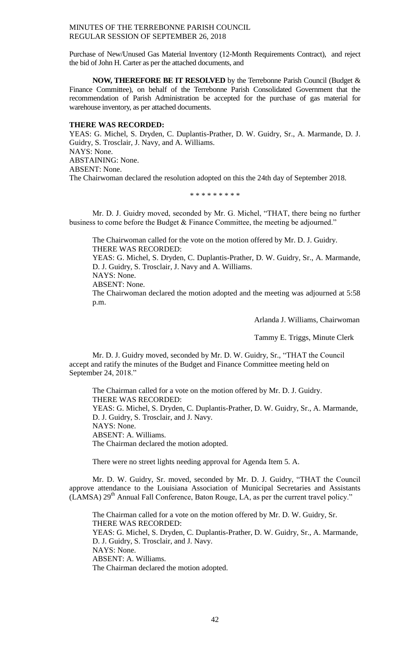Purchase of New/Unused Gas Material Inventory (12-Month Requirements Contract), and reject the bid of John H. Carter as per the attached documents, and

**NOW, THEREFORE BE IT RESOLVED** by the Terrebonne Parish Council (Budget & Finance Committee), on behalf of the Terrebonne Parish Consolidated Government that the recommendation of Parish Administration be accepted for the purchase of gas material for warehouse inventory, as per attached documents.

## **THERE WAS RECORDED:**

YEAS: G. Michel, S. Dryden, C. Duplantis-Prather, D. W. Guidry, Sr., A. Marmande, D. J. Guidry, S. Trosclair, J. Navy, and A. Williams. NAYS: None. ABSTAINING: None. ABSENT: None. The Chairwoman declared the resolution adopted on this the 24th day of September 2018.

\* \* \* \* \* \* \* \* \*

Mr. D. J. Guidry moved, seconded by Mr. G. Michel, "THAT, there being no further business to come before the Budget & Finance Committee, the meeting be adjourned."

The Chairwoman called for the vote on the motion offered by Mr. D. J. Guidry. THERE WAS RECORDED:

YEAS: G. Michel, S. Dryden, C. Duplantis-Prather, D. W. Guidry, Sr., A. Marmande, D. J. Guidry, S. Trosclair, J. Navy and A. Williams. NAYS: None.

ABSENT: None.

The Chairwoman declared the motion adopted and the meeting was adjourned at 5:58 p.m.

Arlanda J. Williams, Chairwoman

Tammy E. Triggs, Minute Clerk

Mr. D. J. Guidry moved, seconded by Mr. D. W. Guidry, Sr., "THAT the Council accept and ratify the minutes of the Budget and Finance Committee meeting held on September 24, 2018."

The Chairman called for a vote on the motion offered by Mr. D. J. Guidry. THERE WAS RECORDED: YEAS: G. Michel, S. Dryden, C. Duplantis-Prather, D. W. Guidry, Sr., A. Marmande, D. J. Guidry, S. Trosclair, and J. Navy. NAYS: None. ABSENT: A. Williams. The Chairman declared the motion adopted.

There were no street lights needing approval for Agenda Item 5. A.

Mr. D. W. Guidry, Sr. moved, seconded by Mr. D. J. Guidry, "THAT the Council approve attendance to the Louisiana Association of Municipal Secretaries and Assistants (LAMSA)  $29<sup>th</sup>$  Annual Fall Conference, Baton Rouge, LA, as per the current travel policy."

The Chairman called for a vote on the motion offered by Mr. D. W. Guidry, Sr. THERE WAS RECORDED: YEAS: G. Michel, S. Dryden, C. Duplantis-Prather, D. W. Guidry, Sr., A. Marmande, D. J. Guidry, S. Trosclair, and J. Navy. NAYS: None. ABSENT: A. Williams. The Chairman declared the motion adopted.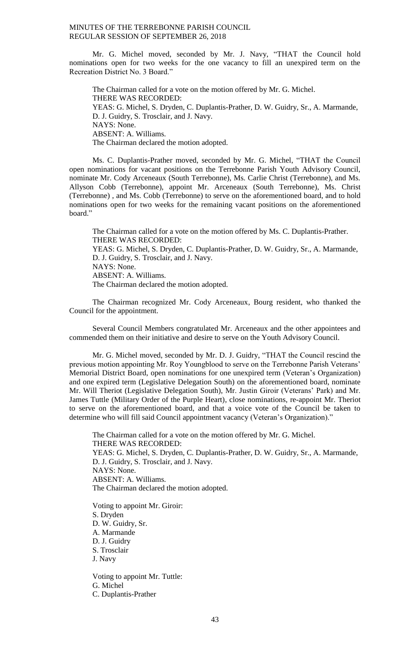Mr. G. Michel moved, seconded by Mr. J. Navy, "THAT the Council hold nominations open for two weeks for the one vacancy to fill an unexpired term on the Recreation District No. 3 Board."

The Chairman called for a vote on the motion offered by Mr. G. Michel. THERE WAS RECORDED: YEAS: G. Michel, S. Dryden, C. Duplantis-Prather, D. W. Guidry, Sr., A. Marmande, D. J. Guidry, S. Trosclair, and J. Navy. NAYS: None. ABSENT: A. Williams. The Chairman declared the motion adopted.

Ms. C. Duplantis-Prather moved, seconded by Mr. G. Michel, "THAT the Council open nominations for vacant positions on the Terrebonne Parish Youth Advisory Council, nominate Mr. Cody Arceneaux (South Terrebonne), Ms. Carlie Christ (Terrebonne), and Ms. Allyson Cobb (Terrebonne), appoint Mr. Arceneaux (South Terrebonne), Ms. Christ (Terrebonne) , and Ms. Cobb (Terrebonne) to serve on the aforementioned board, and to hold nominations open for two weeks for the remaining vacant positions on the aforementioned board."

The Chairman called for a vote on the motion offered by Ms. C. Duplantis-Prather. THERE WAS RECORDED: YEAS: G. Michel, S. Dryden, C. Duplantis-Prather, D. W. Guidry, Sr., A. Marmande, D. J. Guidry, S. Trosclair, and J. Navy. NAYS: None. ABSENT: A. Williams. The Chairman declared the motion adopted.

The Chairman recognized Mr. Cody Arceneaux, Bourg resident, who thanked the Council for the appointment.

Several Council Members congratulated Mr. Arceneaux and the other appointees and commended them on their initiative and desire to serve on the Youth Advisory Council.

Mr. G. Michel moved, seconded by Mr. D. J. Guidry, "THAT the Council rescind the previous motion appointing Mr. Roy Youngblood to serve on the Terrebonne Parish Veterans' Memorial District Board, open nominations for one unexpired term (Veteran's Organization) and one expired term (Legislative Delegation South) on the aforementioned board, nominate Mr. Will Theriot (Legislative Delegation South), Mr. Justin Giroir (Veterans' Park) and Mr. James Tuttle (Military Order of the Purple Heart), close nominations, re-appoint Mr. Theriot to serve on the aforementioned board, and that a voice vote of the Council be taken to determine who will fill said Council appointment vacancy (Veteran's Organization)."

The Chairman called for a vote on the motion offered by Mr. G. Michel. THERE WAS RECORDED: YEAS: G. Michel, S. Dryden, C. Duplantis-Prather, D. W. Guidry, Sr., A. Marmande, D. J. Guidry, S. Trosclair, and J. Navy. NAYS: None. ABSENT: A. Williams. The Chairman declared the motion adopted.

Voting to appoint Mr. Giroir: S. Dryden D. W. Guidry, Sr. A. Marmande D. J. Guidry S. Trosclair J. Navy

Voting to appoint Mr. Tuttle: G. Michel C. Duplantis-Prather